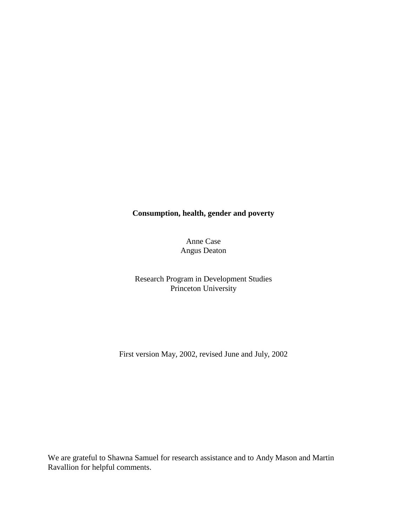# **Consumption, health, gender and poverty**

Anne Case Angus Deaton

Research Program in Development Studies Princeton University

First version May, 2002, revised June and July, 2002

We are grateful to Shawna Samuel for research assistance and to Andy Mason and Martin Ravallion for helpful comments.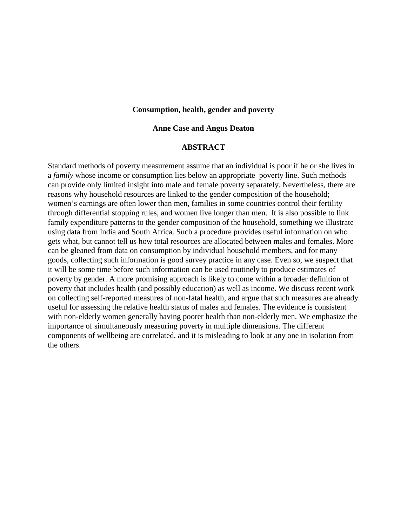# **Consumption, health, gender and poverty**

## **Anne Case and Angus Deaton**

# **ABSTRACT**

Standard methods of poverty measurement assume that an individual is poor if he or she lives in a *family* whose income or consumption lies below an appropriate poverty line. Such methods can provide only limited insight into male and female poverty separately. Nevertheless, there are reasons why household resources are linked to the gender composition of the household; women's earnings are often lower than men, families in some countries control their fertility through differential stopping rules, and women live longer than men. It is also possible to link family expenditure patterns to the gender composition of the household, something we illustrate using data from India and South Africa. Such a procedure provides useful information on who gets what, but cannot tell us how total resources are allocated between males and females. More can be gleaned from data on consumption by individual household members, and for many goods, collecting such information is good survey practice in any case. Even so, we suspect that it will be some time before such information can be used routinely to produce estimates of poverty by gender. A more promising approach is likely to come within a broader definition of poverty that includes health (and possibly education) as well as income. We discuss recent work on collecting self-reported measures of non-fatal health, and argue that such measures are already useful for assessing the relative health status of males and females. The evidence is consistent with non-elderly women generally having poorer health than non-elderly men. We emphasize the importance of simultaneously measuring poverty in multiple dimensions. The different components of wellbeing are correlated, and it is misleading to look at any one in isolation from the others.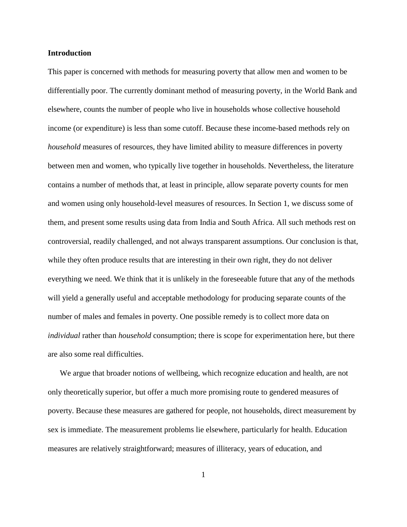# **Introduction**

This paper is concerned with methods for measuring poverty that allow men and women to be differentially poor. The currently dominant method of measuring poverty, in the World Bank and elsewhere, counts the number of people who live in households whose collective household income (or expenditure) is less than some cutoff. Because these income-based methods rely on *household* measures of resources, they have limited ability to measure differences in poverty between men and women, who typically live together in households. Nevertheless, the literature contains a number of methods that, at least in principle, allow separate poverty counts for men and women using only household-level measures of resources. In Section 1, we discuss some of them, and present some results using data from India and South Africa. All such methods rest on controversial, readily challenged, and not always transparent assumptions. Our conclusion is that, while they often produce results that are interesting in their own right, they do not deliver everything we need. We think that it is unlikely in the foreseeable future that any of the methods will yield a generally useful and acceptable methodology for producing separate counts of the number of males and females in poverty. One possible remedy is to collect more data on *individual* rather than *household* consumption; there is scope for experimentation here, but there are also some real difficulties.

We argue that broader notions of wellbeing, which recognize education and health, are not only theoretically superior, but offer a much more promising route to gendered measures of poverty. Because these measures are gathered for people, not households, direct measurement by sex is immediate. The measurement problems lie elsewhere, particularly for health. Education measures are relatively straightforward; measures of illiteracy, years of education, and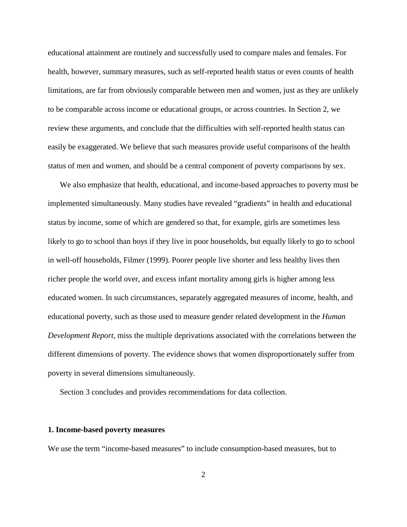educational attainment are routinely and successfully used to compare males and females. For health, however, summary measures, such as self-reported health status or even counts of health limitations, are far from obviously comparable between men and women, just as they are unlikely to be comparable across income or educational groups, or across countries. In Section 2, we review these arguments, and conclude that the difficulties with self-reported health status can easily be exaggerated. We believe that such measures provide useful comparisons of the health status of men and women, and should be a central component of poverty comparisons by sex.

We also emphasize that health, educational, and income-based approaches to poverty must be implemented simultaneously. Many studies have revealed "gradients" in health and educational status by income, some of which are gendered so that, for example, girls are sometimes less likely to go to school than boys if they live in poor households, but equally likely to go to school in well-off households, Filmer (1999). Poorer people live shorter and less healthy lives then richer people the world over, and excess infant mortality among girls is higher among less educated women. In such circumstances, separately aggregated measures of income, health, and educational poverty, such as those used to measure gender related development in the *Human Development Report*, miss the multiple deprivations associated with the correlations between the different dimensions of poverty. The evidence shows that women disproportionately suffer from poverty in several dimensions simultaneously.

Section 3 concludes and provides recommendations for data collection.

# **1. Income-based poverty measures**

We use the term "income-based measures" to include consumption-based measures, but to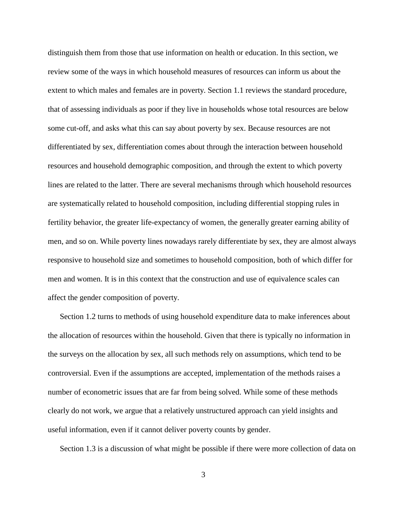distinguish them from those that use information on health or education. In this section, we review some of the ways in which household measures of resources can inform us about the extent to which males and females are in poverty. Section 1.1 reviews the standard procedure, that of assessing individuals as poor if they live in households whose total resources are below some cut-off, and asks what this can say about poverty by sex. Because resources are not differentiated by sex, differentiation comes about through the interaction between household resources and household demographic composition, and through the extent to which poverty lines are related to the latter. There are several mechanisms through which household resources are systematically related to household composition, including differential stopping rules in fertility behavior, the greater life-expectancy of women, the generally greater earning ability of men, and so on. While poverty lines nowadays rarely differentiate by sex, they are almost always responsive to household size and sometimes to household composition, both of which differ for men and women. It is in this context that the construction and use of equivalence scales can affect the gender composition of poverty.

Section 1.2 turns to methods of using household expenditure data to make inferences about the allocation of resources within the household. Given that there is typically no information in the surveys on the allocation by sex, all such methods rely on assumptions, which tend to be controversial. Even if the assumptions are accepted, implementation of the methods raises a number of econometric issues that are far from being solved. While some of these methods clearly do not work, we argue that a relatively unstructured approach can yield insights and useful information, even if it cannot deliver poverty counts by gender.

Section 1.3 is a discussion of what might be possible if there were more collection of data on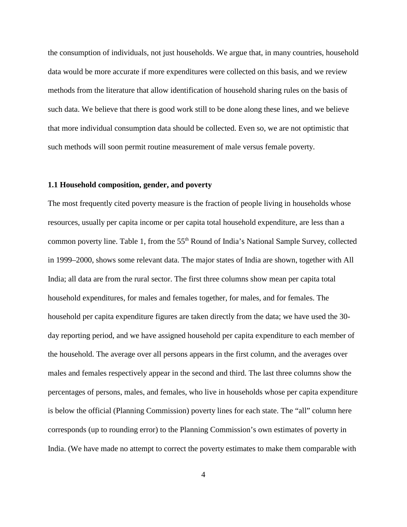the consumption of individuals, not just households. We argue that, in many countries, household data would be more accurate if more expenditures were collected on this basis, and we review methods from the literature that allow identification of household sharing rules on the basis of such data. We believe that there is good work still to be done along these lines, and we believe that more individual consumption data should be collected. Even so, we are not optimistic that such methods will soon permit routine measurement of male versus female poverty.

# **1.1 Household composition, gender, and poverty**

The most frequently cited poverty measure is the fraction of people living in households whose resources, usually per capita income or per capita total household expenditure, are less than a common poverty line. Table 1, from the 55<sup>th</sup> Round of India's National Sample Survey, collected in 1999–2000, shows some relevant data. The major states of India are shown, together with All India; all data are from the rural sector. The first three columns show mean per capita total household expenditures, for males and females together, for males, and for females. The household per capita expenditure figures are taken directly from the data; we have used the 30 day reporting period, and we have assigned household per capita expenditure to each member of the household. The average over all persons appears in the first column, and the averages over males and females respectively appear in the second and third. The last three columns show the percentages of persons, males, and females, who live in households whose per capita expenditure is below the official (Planning Commission) poverty lines for each state. The "all" column here corresponds (up to rounding error) to the Planning Commission's own estimates of poverty in India. (We have made no attempt to correct the poverty estimates to make them comparable with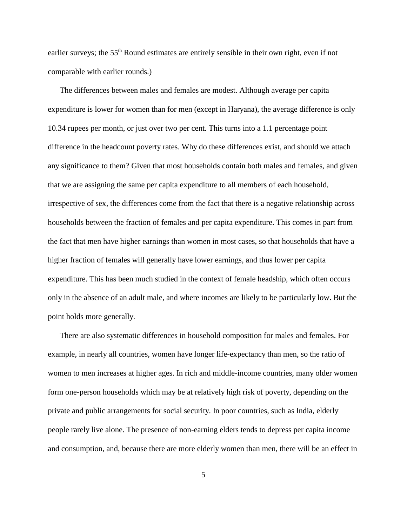earlier surveys; the 55<sup>th</sup> Round estimates are entirely sensible in their own right, even if not comparable with earlier rounds.)

The differences between males and females are modest. Although average per capita expenditure is lower for women than for men (except in Haryana), the average difference is only 10.34 rupees per month, or just over two per cent. This turns into a 1.1 percentage point difference in the headcount poverty rates. Why do these differences exist, and should we attach any significance to them? Given that most households contain both males and females, and given that we are assigning the same per capita expenditure to all members of each household, irrespective of sex, the differences come from the fact that there is a negative relationship across households between the fraction of females and per capita expenditure. This comes in part from the fact that men have higher earnings than women in most cases, so that households that have a higher fraction of females will generally have lower earnings, and thus lower per capita expenditure. This has been much studied in the context of female headship, which often occurs only in the absence of an adult male, and where incomes are likely to be particularly low. But the point holds more generally.

There are also systematic differences in household composition for males and females. For example, in nearly all countries, women have longer life-expectancy than men, so the ratio of women to men increases at higher ages. In rich and middle-income countries, many older women form one-person households which may be at relatively high risk of poverty, depending on the private and public arrangements for social security. In poor countries, such as India, elderly people rarely live alone. The presence of non-earning elders tends to depress per capita income and consumption, and, because there are more elderly women than men, there will be an effect in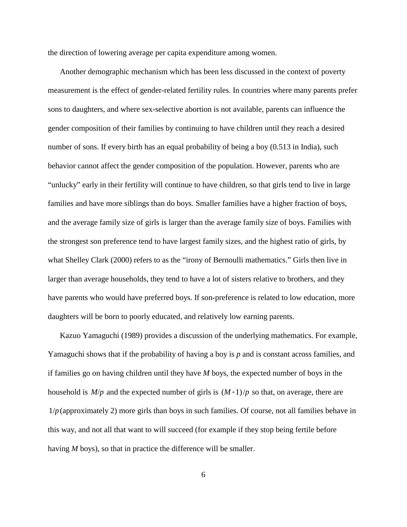the direction of lowering average per capita expenditure among women.

Another demographic mechanism which has been less discussed in the context of poverty measurement is the effect of gender-related fertility rules. In countries where many parents prefer sons to daughters, and where sex-selective abortion is not available, parents can influence the gender composition of their families by continuing to have children until they reach a desired number of sons. If every birth has an equal probability of being a boy (0.513 in India), such behavior cannot affect the gender composition of the population. However, parents who are "unlucky" early in their fertility will continue to have children, so that girls tend to live in large families and have more siblings than do boys. Smaller families have a higher fraction of boys, and the average family size of girls is larger than the average family size of boys. Families with the strongest son preference tend to have largest family sizes, and the highest ratio of girls, by what Shelley Clark (2000) refers to as the "irony of Bernoulli mathematics." Girls then live in larger than average households, they tend to have a lot of sisters relative to brothers, and they have parents who would have preferred boys. If son-preference is related to low education, more daughters will be born to poorly educated, and relatively low earning parents.

Kazuo Yamaguchi (1989) provides a discussion of the underlying mathematics. For example, Yamaguchi shows that if the probability of having a boy is *p* and is constant across families, and if families go on having children until they have *M* boys, the expected number of boys in the household is  $M/p$  and the expected number of girls is  $(M+1)/p$  so that, on average, there are  $1/p$ (approximately 2) more girls than boys in such families. Of course, not all families behave in this way, and not all that want to will succeed (for example if they stop being fertile before having *M* boys), so that in practice the difference will be smaller.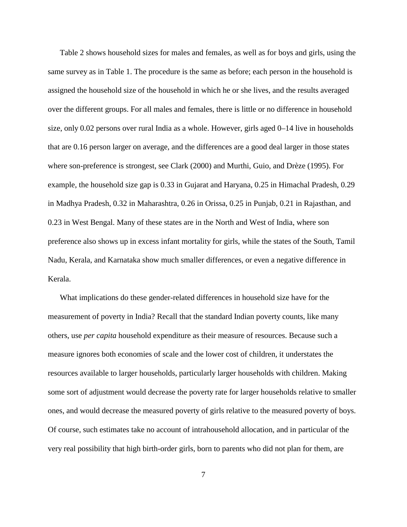Table 2 shows household sizes for males and females, as well as for boys and girls, using the same survey as in Table 1. The procedure is the same as before; each person in the household is assigned the household size of the household in which he or she lives, and the results averaged over the different groups. For all males and females, there is little or no difference in household size, only 0.02 persons over rural India as a whole. However, girls aged 0–14 live in households that are 0.16 person larger on average, and the differences are a good deal larger in those states where son-preference is strongest, see Clark (2000) and Murthi, Guio, and Drèze (1995). For example, the household size gap is 0.33 in Gujarat and Haryana, 0.25 in Himachal Pradesh, 0.29 in Madhya Pradesh, 0.32 in Maharashtra, 0.26 in Orissa, 0.25 in Punjab, 0.21 in Rajasthan, and 0.23 in West Bengal. Many of these states are in the North and West of India, where son preference also shows up in excess infant mortality for girls, while the states of the South, Tamil Nadu, Kerala, and Karnataka show much smaller differences, or even a negative difference in Kerala.

What implications do these gender-related differences in household size have for the measurement of poverty in India? Recall that the standard Indian poverty counts, like many others, use *per capita* household expenditure as their measure of resources. Because such a measure ignores both economies of scale and the lower cost of children, it understates the resources available to larger households, particularly larger households with children. Making some sort of adjustment would decrease the poverty rate for larger households relative to smaller ones, and would decrease the measured poverty of girls relative to the measured poverty of boys. Of course, such estimates take no account of intrahousehold allocation, and in particular of the very real possibility that high birth-order girls, born to parents who did not plan for them, are

7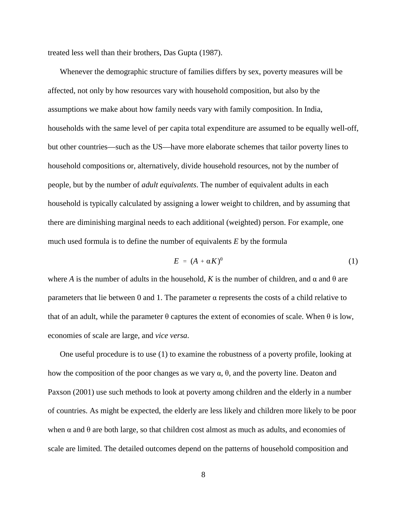treated less well than their brothers, Das Gupta (1987).

Whenever the demographic structure of families differs by sex, poverty measures will be affected, not only by how resources vary with household composition, but also by the assumptions we make about how family needs vary with family composition. In India, households with the same level of per capita total expenditure are assumed to be equally well-off, but other countries—such as the US—have more elaborate schemes that tailor poverty lines to household compositions or, alternatively, divide household resources, not by the number of people, but by the number of *adult equivalents*. The number of equivalent adults in each household is typically calculated by assigning a lower weight to children, and by assuming that there are diminishing marginal needs to each additional (weighted) person. For example, one much used formula is to define the number of equivalents *E* by the formula

$$
E = (A + \alpha K)^{\theta} \tag{1}
$$

where *A* is the number of adults in the household, *K* is the number of children, and  $\alpha$  and  $\theta$  are parameters that lie between 0 and 1. The parameter  $\alpha$  represents the costs of a child relative to that of an adult, while the parameter  $\theta$  captures the extent of economies of scale. When  $\theta$  is low, economies of scale are large, and *vice versa*.

One useful procedure is to use (1) to examine the robustness of a poverty profile, looking at how the composition of the poor changes as we vary  $\alpha$ ,  $\theta$ , and the poverty line. Deaton and Paxson (2001) use such methods to look at poverty among children and the elderly in a number of countries. As might be expected, the elderly are less likely and children more likely to be poor when  $\alpha$  and  $\theta$  are both large, so that children cost almost as much as adults, and economies of scale are limited. The detailed outcomes depend on the patterns of household composition and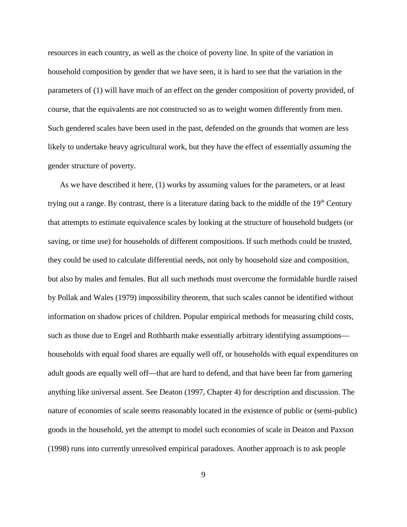resources in each country, as well as the choice of poverty line. In spite of the variation in household composition by gender that we have seen, it is hard to see that the variation in the parameters of (1) will have much of an effect on the gender composition of poverty provided, of course, that the equivalents are not constructed so as to weight women differently from men. Such gendered scales have been used in the past, defended on the grounds that women are less likely to undertake heavy agricultural work, but they have the effect of essentially *assuming* the gender structure of poverty.

As we have described it here, (1) works by assuming values for the parameters, or at least trying out a range. By contrast, there is a literature dating back to the middle of the  $19<sup>th</sup>$  Century that attempts to estimate equivalence scales by looking at the structure of household budgets (or saving, or time use) for households of different compositions. If such methods could be trusted, they could be used to calculate differential needs, not only by household size and composition, but also by males and females. But all such methods must overcome the formidable hurdle raised by Pollak and Wales (1979) impossibility theorem, that such scales cannot be identified without information on shadow prices of children. Popular empirical methods for measuring child costs, such as those due to Engel and Rothbarth make essentially arbitrary identifying assumptions households with equal food shares are equally well off, or households with equal expenditures on adult goods are equally well off—that are hard to defend, and that have been far from garnering anything like universal assent. See Deaton (1997, Chapter 4) for description and discussion. The nature of economies of scale seems reasonably located in the existence of public or (semi-public) goods in the household, yet the attempt to model such economies of scale in Deaton and Paxson (1998) runs into currently unresolved empirical paradoxes. Another approach is to ask people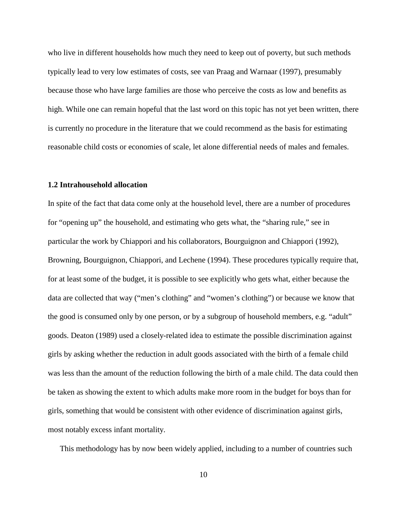who live in different households how much they need to keep out of poverty, but such methods typically lead to very low estimates of costs, see van Praag and Warnaar (1997), presumably because those who have large families are those who perceive the costs as low and benefits as high. While one can remain hopeful that the last word on this topic has not yet been written, there is currently no procedure in the literature that we could recommend as the basis for estimating reasonable child costs or economies of scale, let alone differential needs of males and females.

# **1.2 Intrahousehold allocation**

In spite of the fact that data come only at the household level, there are a number of procedures for "opening up" the household, and estimating who gets what, the "sharing rule," see in particular the work by Chiappori and his collaborators, Bourguignon and Chiappori (1992), Browning, Bourguignon, Chiappori, and Lechene (1994). These procedures typically require that, for at least some of the budget, it is possible to see explicitly who gets what, either because the data are collected that way ("men's clothing" and "women's clothing") or because we know that the good is consumed only by one person, or by a subgroup of household members, e.g. "adult" goods. Deaton (1989) used a closely-related idea to estimate the possible discrimination against girls by asking whether the reduction in adult goods associated with the birth of a female child was less than the amount of the reduction following the birth of a male child. The data could then be taken as showing the extent to which adults make more room in the budget for boys than for girls, something that would be consistent with other evidence of discrimination against girls, most notably excess infant mortality.

This methodology has by now been widely applied, including to a number of countries such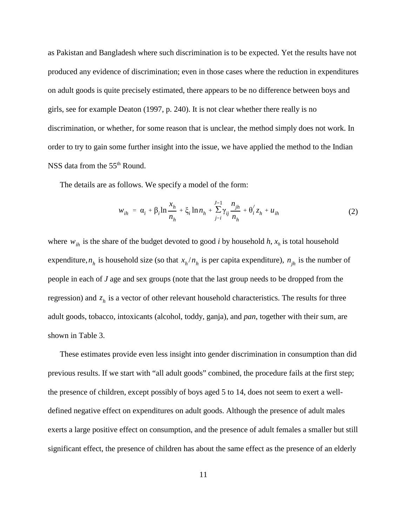as Pakistan and Bangladesh where such discrimination is to be expected. Yet the results have not produced any evidence of discrimination; even in those cases where the reduction in expenditures on adult goods is quite precisely estimated, there appears to be no difference between boys and girls, see for example Deaton (1997, p. 240). It is not clear whether there really is no discrimination, or whether, for some reason that is unclear, the method simply does not work. In order to try to gain some further insight into the issue, we have applied the method to the Indian NSS data from the 55<sup>th</sup> Round.

The details are as follows. We specify a model of the form:

$$
w_{ih} = \alpha_i + \beta_i \ln \frac{x_h}{n_h} + \xi_i \ln n_h + \sum_{j=i}^{J-1} \gamma_{ij} \frac{n_{jh}}{n_h} + \theta'_i z_h + u_{ih}
$$
 (2)

where  $w_{ih}$  is the share of the budget devoted to good *i* by household *h*,  $x_h$  is total household expenditure,  $n_h$  is household size (so that  $x_h/n_h$  is per capita expenditure),  $n_{jh}$  is the number of people in each of *J* age and sex groups (note that the last group needs to be dropped from the regression) and  $z<sub>h</sub>$  is a vector of other relevant household characteristics. The results for three adult goods, tobacco, intoxicants (alcohol, toddy, ganja), and *pan*, together with their sum, are shown in Table 3.

These estimates provide even less insight into gender discrimination in consumption than did previous results. If we start with "all adult goods" combined, the procedure fails at the first step; the presence of children, except possibly of boys aged 5 to 14, does not seem to exert a welldefined negative effect on expenditures on adult goods. Although the presence of adult males exerts a large positive effect on consumption, and the presence of adult females a smaller but still significant effect, the presence of children has about the same effect as the presence of an elderly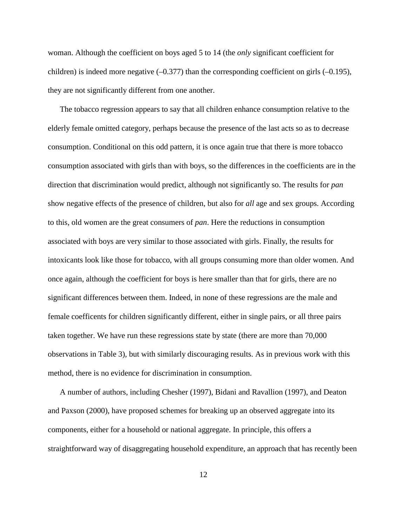woman. Although the coefficient on boys aged 5 to 14 (the *only* significant coefficient for children) is indeed more negative  $(-0.377)$  than the corresponding coefficient on girls  $(-0.195)$ , they are not significantly different from one another.

The tobacco regression appears to say that all children enhance consumption relative to the elderly female omitted category, perhaps because the presence of the last acts so as to decrease consumption. Conditional on this odd pattern, it is once again true that there is more tobacco consumption associated with girls than with boys, so the differences in the coefficients are in the direction that discrimination would predict, although not significantly so. The results for *pan* show negative effects of the presence of children, but also for *all* age and sex groups. According to this, old women are the great consumers of *pan*. Here the reductions in consumption associated with boys are very similar to those associated with girls. Finally, the results for intoxicants look like those for tobacco, with all groups consuming more than older women. And once again, although the coefficient for boys is here smaller than that for girls, there are no significant differences between them. Indeed, in none of these regressions are the male and female coefficents for children significantly different, either in single pairs, or all three pairs taken together. We have run these regressions state by state (there are more than 70,000 observations in Table 3), but with similarly discouraging results. As in previous work with this method, there is no evidence for discrimination in consumption.

A number of authors, including Chesher (1997), Bidani and Ravallion (1997), and Deaton and Paxson (2000), have proposed schemes for breaking up an observed aggregate into its components, either for a household or national aggregate. In principle, this offers a straightforward way of disaggregating household expenditure, an approach that has recently been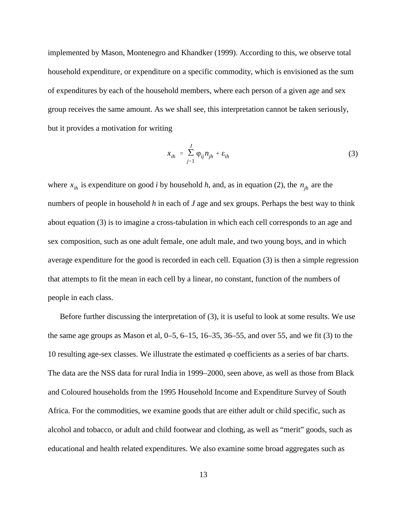implemented by Mason, Montenegro and Khandker (1999). According to this, we observe total household expenditure, or expenditure on a specific commodity, which is envisioned as the sum of expenditures by each of the household members, where each person of a given age and sex group receives the same amount. As we shall see, this interpretation cannot be taken seriously, but it provides a motivation for writing

$$
x_{ih} = \sum_{j=1}^{J} \varphi_{ij} n_{jh} + \varepsilon_{ih}
$$
 (3)

where  $x_{ih}$  is expenditure on good *i* by household *h*, and, as in equation (2), the  $n_{ih}$  are the numbers of people in household *h* in each of *J* age and sex groups. Perhaps the best way to think about equation (3) is to imagine a cross-tabulation in which each cell corresponds to an age and sex composition, such as one adult female, one adult male, and two young boys, and in which average expenditure for the good is recorded in each cell. Equation (3) is then a simple regression that attempts to fit the mean in each cell by a linear, no constant, function of the numbers of people in each class.

Before further discussing the interpretation of (3), it is useful to look at some results. We use the same age groups as Mason et al,  $0-5$ ,  $6-15$ ,  $16-35$ ,  $36-55$ , and over 55, and we fit (3) to the 10 resulting age-sex classes. We illustrate the estimated  $\varphi$  coefficients as a series of bar charts. The data are the NSS data for rural India in 1999–2000, seen above, as well as those from Black and Coloured households from the 1995 Household Income and Expenditure Survey of South Africa. For the commodities, we examine goods that are either adult or child specific, such as alcohol and tobacco, or adult and child footwear and clothing, as well as "merit" goods, such as educational and health related expenditures. We also examine some broad aggregates such as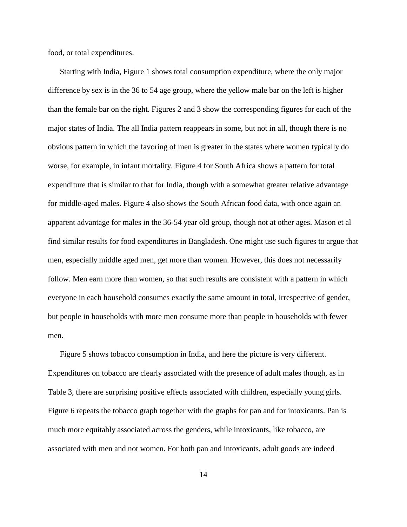food, or total expenditures.

Starting with India, Figure 1 shows total consumption expenditure, where the only major difference by sex is in the 36 to 54 age group, where the yellow male bar on the left is higher than the female bar on the right. Figures 2 and 3 show the corresponding figures for each of the major states of India. The all India pattern reappears in some, but not in all, though there is no obvious pattern in which the favoring of men is greater in the states where women typically do worse, for example, in infant mortality. Figure 4 for South Africa shows a pattern for total expenditure that is similar to that for India, though with a somewhat greater relative advantage for middle-aged males. Figure 4 also shows the South African food data, with once again an apparent advantage for males in the 36-54 year old group, though not at other ages. Mason et al find similar results for food expenditures in Bangladesh. One might use such figures to argue that men, especially middle aged men, get more than women. However, this does not necessarily follow. Men earn more than women, so that such results are consistent with a pattern in which everyone in each household consumes exactly the same amount in total, irrespective of gender, but people in households with more men consume more than people in households with fewer men.

Figure 5 shows tobacco consumption in India, and here the picture is very different. Expenditures on tobacco are clearly associated with the presence of adult males though, as in Table 3, there are surprising positive effects associated with children, especially young girls. Figure 6 repeats the tobacco graph together with the graphs for pan and for intoxicants. Pan is much more equitably associated across the genders, while intoxicants, like tobacco, are associated with men and not women. For both pan and intoxicants, adult goods are indeed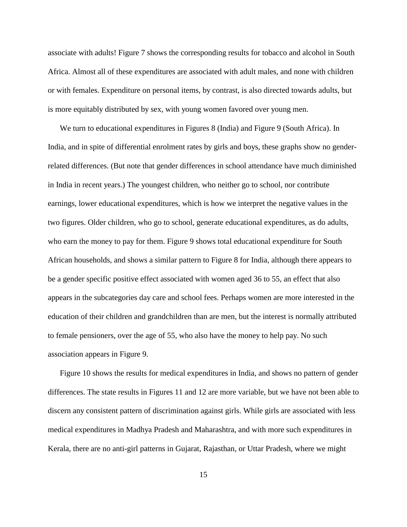associate with adults! Figure 7 shows the corresponding results for tobacco and alcohol in South Africa. Almost all of these expenditures are associated with adult males, and none with children or with females. Expenditure on personal items, by contrast, is also directed towards adults, but is more equitably distributed by sex, with young women favored over young men.

We turn to educational expenditures in Figures 8 (India) and Figure 9 (South Africa). In India, and in spite of differential enrolment rates by girls and boys, these graphs show no genderrelated differences. (But note that gender differences in school attendance have much diminished in India in recent years.) The youngest children, who neither go to school, nor contribute earnings, lower educational expenditures, which is how we interpret the negative values in the two figures. Older children, who go to school, generate educational expenditures, as do adults, who earn the money to pay for them. Figure 9 shows total educational expenditure for South African households, and shows a similar pattern to Figure 8 for India, although there appears to be a gender specific positive effect associated with women aged 36 to 55, an effect that also appears in the subcategories day care and school fees. Perhaps women are more interested in the education of their children and grandchildren than are men, but the interest is normally attributed to female pensioners, over the age of 55, who also have the money to help pay. No such association appears in Figure 9.

Figure 10 shows the results for medical expenditures in India, and shows no pattern of gender differences. The state results in Figures 11 and 12 are more variable, but we have not been able to discern any consistent pattern of discrimination against girls. While girls are associated with less medical expenditures in Madhya Pradesh and Maharashtra, and with more such expenditures in Kerala, there are no anti-girl patterns in Gujarat, Rajasthan, or Uttar Pradesh, where we might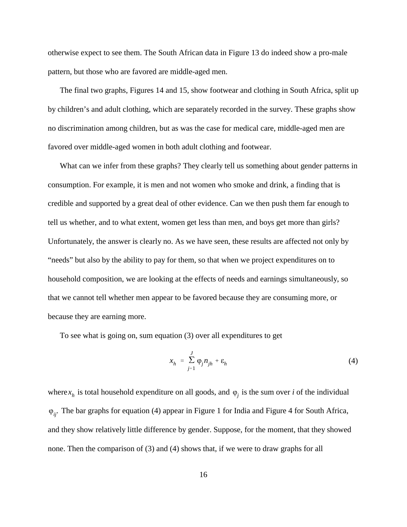otherwise expect to see them. The South African data in Figure 13 do indeed show a pro-male pattern, but those who are favored are middle-aged men.

The final two graphs, Figures 14 and 15, show footwear and clothing in South Africa, split up by children's and adult clothing, which are separately recorded in the survey. These graphs show no discrimination among children, but as was the case for medical care, middle-aged men are favored over middle-aged women in both adult clothing and footwear.

What can we infer from these graphs? They clearly tell us something about gender patterns in consumption. For example, it is men and not women who smoke and drink, a finding that is credible and supported by a great deal of other evidence. Can we then push them far enough to tell us whether, and to what extent, women get less than men, and boys get more than girls? Unfortunately, the answer is clearly no. As we have seen, these results are affected not only by "needs" but also by the ability to pay for them, so that when we project expenditures on to household composition, we are looking at the effects of needs and earnings simultaneously, so that we cannot tell whether men appear to be favored because they are consuming more, or because they are earning more.

To see what is going on, sum equation (3) over all expenditures to get

$$
x_h = \sum_{j=1}^{J} \varphi_j n_{jh} + \varepsilon_h \tag{4}
$$

where  $x<sub>h</sub>$  is total household expenditure on all goods, and  $\varphi<sub>j</sub>$  is the sum over *i* of the individual - The bar graphs for equation (4) appear in Figure 1 for India and Figure 4 for South Africa, *ij*. and they show relatively little difference by gender. Suppose, for the moment, that they showed none. Then the comparison of (3) and (4) shows that, if we were to draw graphs for all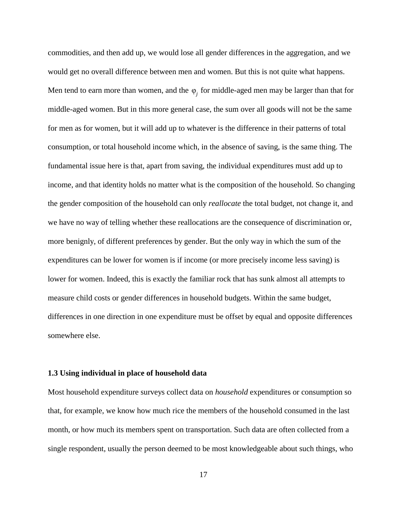commodities, and then add up, we would lose all gender differences in the aggregation, and we would get no overall difference between men and women. But this is not quite what happens. Men tend to earn more than women, and the  $\varphi_j$  for middle-aged men may be larger than that for middle-aged women. But in this more general case, the sum over all goods will not be the same for men as for women, but it will add up to whatever is the difference in their patterns of total consumption, or total household income which, in the absence of saving, is the same thing. The fundamental issue here is that, apart from saving, the individual expenditures must add up to income, and that identity holds no matter what is the composition of the household. So changing the gender composition of the household can only *reallocate* the total budget, not change it, and we have no way of telling whether these reallocations are the consequence of discrimination or, more benignly, of different preferences by gender. But the only way in which the sum of the expenditures can be lower for women is if income (or more precisely income less saving) is lower for women. Indeed, this is exactly the familiar rock that has sunk almost all attempts to measure child costs or gender differences in household budgets. Within the same budget, differences in one direction in one expenditure must be offset by equal and opposite differences somewhere else.

# **1.3 Using individual in place of household data**

Most household expenditure surveys collect data on *household* expenditures or consumption so that, for example, we know how much rice the members of the household consumed in the last month, or how much its members spent on transportation. Such data are often collected from a single respondent, usually the person deemed to be most knowledgeable about such things, who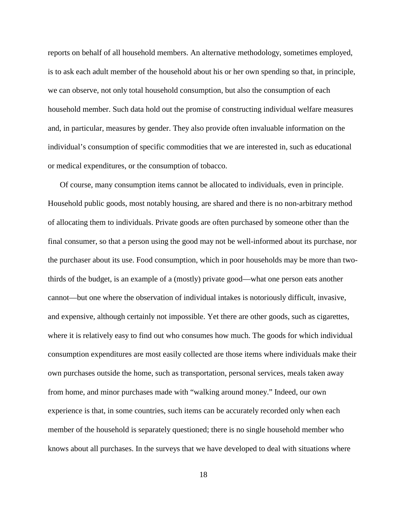reports on behalf of all household members. An alternative methodology, sometimes employed, is to ask each adult member of the household about his or her own spending so that, in principle, we can observe, not only total household consumption, but also the consumption of each household member. Such data hold out the promise of constructing individual welfare measures and, in particular, measures by gender. They also provide often invaluable information on the individual's consumption of specific commodities that we are interested in, such as educational or medical expenditures, or the consumption of tobacco.

Of course, many consumption items cannot be allocated to individuals, even in principle. Household public goods, most notably housing, are shared and there is no non-arbitrary method of allocating them to individuals. Private goods are often purchased by someone other than the final consumer, so that a person using the good may not be well-informed about its purchase, nor the purchaser about its use. Food consumption, which in poor households may be more than twothirds of the budget, is an example of a (mostly) private good—what one person eats another cannot—but one where the observation of individual intakes is notoriously difficult, invasive, and expensive, although certainly not impossible. Yet there are other goods, such as cigarettes, where it is relatively easy to find out who consumes how much. The goods for which individual consumption expenditures are most easily collected are those items where individuals make their own purchases outside the home, such as transportation, personal services, meals taken away from home, and minor purchases made with "walking around money." Indeed, our own experience is that, in some countries, such items can be accurately recorded only when each member of the household is separately questioned; there is no single household member who knows about all purchases. In the surveys that we have developed to deal with situations where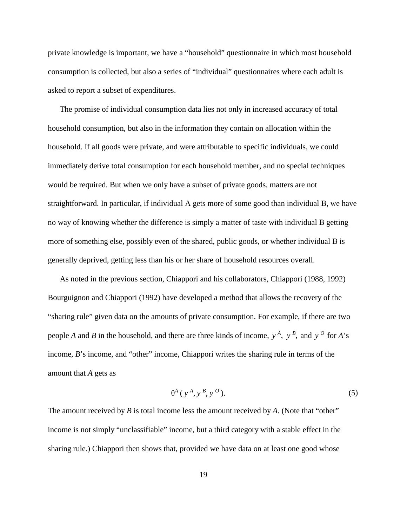private knowledge is important, we have a "household" questionnaire in which most household consumption is collected, but also a series of "individual" questionnaires where each adult is asked to report a subset of expenditures.

The promise of individual consumption data lies not only in increased accuracy of total household consumption, but also in the information they contain on allocation within the household. If all goods were private, and were attributable to specific individuals, we could immediately derive total consumption for each household member, and no special techniques would be required. But when we only have a subset of private goods, matters are not straightforward. In particular, if individual A gets more of some good than individual B, we have no way of knowing whether the difference is simply a matter of taste with individual B getting more of something else, possibly even of the shared, public goods, or whether individual B is generally deprived, getting less than his or her share of household resources overall.

As noted in the previous section, Chiappori and his collaborators, Chiappori (1988, 1992) Bourguignon and Chiappori (1992) have developed a method that allows the recovery of the "sharing rule" given data on the amounts of private consumption. For example, if there are two people *A* and *B* in the household, and there are three kinds of income,  $y^A$ ,  $y^B$ , and  $y^O$  for *A*'s income, *B*'s income, and "other" income, Chiappori writes the sharing rule in terms of the amount that *A* gets as

$$
\theta^A(y^A, y^B, y^O). \tag{5}
$$

The amount received by *B* is total income less the amount received by *A*. (Note that "other" income is not simply "unclassifiable" income, but a third category with a stable effect in the sharing rule.) Chiappori then shows that, provided we have data on at least one good whose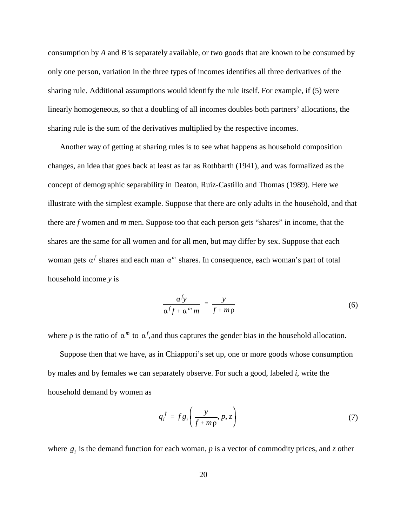consumption by *A* and *B* is separately available, or two goods that are known to be consumed by only one person, variation in the three types of incomes identifies all three derivatives of the sharing rule. Additional assumptions would identify the rule itself. For example, if (5) were linearly homogeneous, so that a doubling of all incomes doubles both partners' allocations, the sharing rule is the sum of the derivatives multiplied by the respective incomes.

Another way of getting at sharing rules is to see what happens as household composition changes, an idea that goes back at least as far as Rothbarth (1941), and was formalized as the concept of demographic separability in Deaton, Ruiz-Castillo and Thomas (1989). Here we illustrate with the simplest example. Suppose that there are only adults in the household, and that there are *f* women and *m* men. Suppose too that each person gets "shares" in income, that the shares are the same for all women and for all men, but may differ by sex. Suppose that each woman gets  $\alpha^f$  shares and each man  $\alpha^m$  shares. In consequence, each woman's part of total household income *y* is

$$
\frac{\alpha^f y}{\alpha^f f + \alpha^m m} = \frac{y}{f + m\rho} \tag{6}
$$

where  $\rho$  is the ratio of  $\alpha^m$  to  $\alpha^f$ , and thus captures the gender bias in the household allocation.

Suppose then that we have, as in Chiappori's set up, one or more goods whose consumption by males and by females we can separately observe. For such a good, labeled *i*, write the household demand by women as

$$
q_i^f = fg_i\left(\frac{y}{f + m\rho}, p, z\right) \tag{7}
$$

where  $g_i$  is the demand function for each woman,  $p$  is a vector of commodity prices, and  $z$  other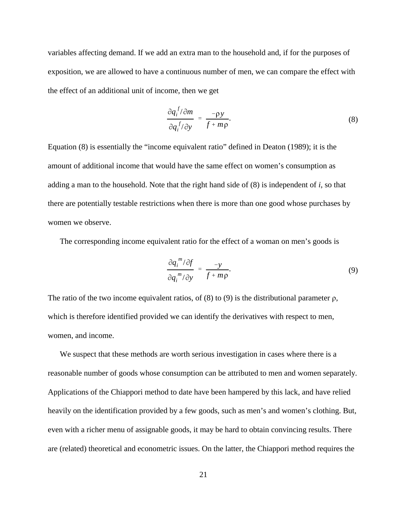variables affecting demand. If we add an extra man to the household and, if for the purposes of exposition, we are allowed to have a continuous number of men, we can compare the effect with the effect of an additional unit of income, then we get

$$
\frac{\partial q_i^f/\partial m}{\partial q_i^f/\partial y} = \frac{-\rho y}{f + m\rho}.\tag{8}
$$

Equation (8) is essentially the "income equivalent ratio" defined in Deaton (1989); it is the amount of additional income that would have the same effect on women's consumption as adding a man to the household. Note that the right hand side of (8) is independent of *i*, so that there are potentially testable restrictions when there is more than one good whose purchases by women we observe.

The corresponding income equivalent ratio for the effect of a woman on men's goods is

$$
\frac{\partial q_i^m / \partial f}{\partial q_i^m / \partial y} = \frac{-y}{f + m\rho}.
$$
\n(9)

The ratio of the two income equivalent ratios, of (8) to (9) is the distributional parameter  $\rho$ , which is therefore identified provided we can identify the derivatives with respect to men, women, and income.

We suspect that these methods are worth serious investigation in cases where there is a reasonable number of goods whose consumption can be attributed to men and women separately. Applications of the Chiappori method to date have been hampered by this lack, and have relied heavily on the identification provided by a few goods, such as men's and women's clothing. But, even with a richer menu of assignable goods, it may be hard to obtain convincing results. There are (related) theoretical and econometric issues. On the latter, the Chiappori method requires the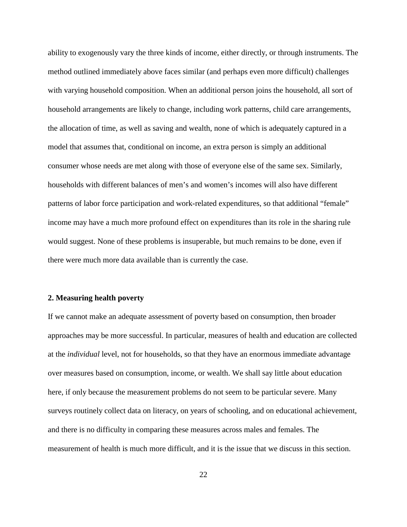ability to exogenously vary the three kinds of income, either directly, or through instruments. The method outlined immediately above faces similar (and perhaps even more difficult) challenges with varying household composition. When an additional person joins the household, all sort of household arrangements are likely to change, including work patterns, child care arrangements, the allocation of time, as well as saving and wealth, none of which is adequately captured in a model that assumes that, conditional on income, an extra person is simply an additional consumer whose needs are met along with those of everyone else of the same sex. Similarly, households with different balances of men's and women's incomes will also have different patterns of labor force participation and work-related expenditures, so that additional "female" income may have a much more profound effect on expenditures than its role in the sharing rule would suggest. None of these problems is insuperable, but much remains to be done, even if there were much more data available than is currently the case.

# **2. Measuring health poverty**

If we cannot make an adequate assessment of poverty based on consumption, then broader approaches may be more successful. In particular, measures of health and education are collected at the *individual* level, not for households, so that they have an enormous immediate advantage over measures based on consumption, income, or wealth. We shall say little about education here, if only because the measurement problems do not seem to be particular severe. Many surveys routinely collect data on literacy, on years of schooling, and on educational achievement, and there is no difficulty in comparing these measures across males and females. The measurement of health is much more difficult, and it is the issue that we discuss in this section.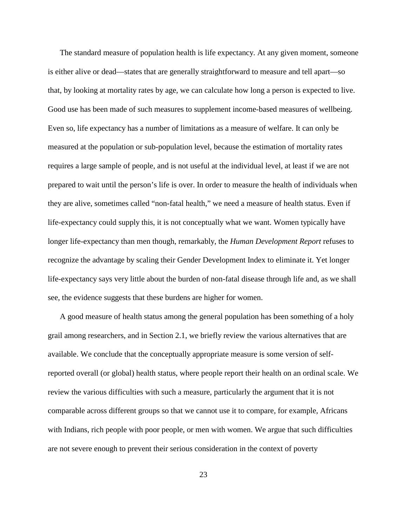The standard measure of population health is life expectancy. At any given moment, someone is either alive or dead—states that are generally straightforward to measure and tell apart—so that, by looking at mortality rates by age, we can calculate how long a person is expected to live. Good use has been made of such measures to supplement income-based measures of wellbeing. Even so, life expectancy has a number of limitations as a measure of welfare. It can only be measured at the population or sub-population level, because the estimation of mortality rates requires a large sample of people, and is not useful at the individual level, at least if we are not prepared to wait until the person's life is over. In order to measure the health of individuals when they are alive, sometimes called "non-fatal health," we need a measure of health status. Even if life-expectancy could supply this, it is not conceptually what we want. Women typically have longer life-expectancy than men though, remarkably, the *Human Development Report* refuses to recognize the advantage by scaling their Gender Development Index to eliminate it. Yet longer life-expectancy says very little about the burden of non-fatal disease through life and, as we shall see, the evidence suggests that these burdens are higher for women.

A good measure of health status among the general population has been something of a holy grail among researchers, and in Section 2.1, we briefly review the various alternatives that are available. We conclude that the conceptually appropriate measure is some version of selfreported overall (or global) health status, where people report their health on an ordinal scale. We review the various difficulties with such a measure, particularly the argument that it is not comparable across different groups so that we cannot use it to compare, for example, Africans with Indians, rich people with poor people, or men with women. We argue that such difficulties are not severe enough to prevent their serious consideration in the context of poverty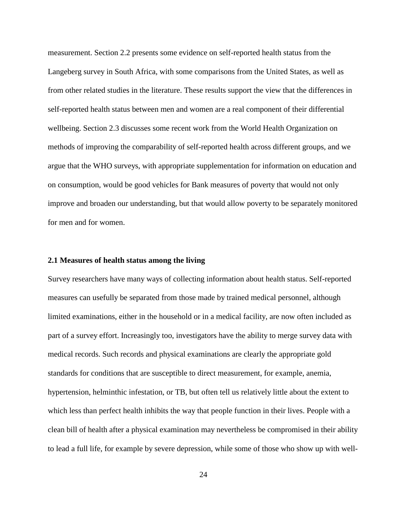measurement. Section 2.2 presents some evidence on self-reported health status from the Langeberg survey in South Africa, with some comparisons from the United States, as well as from other related studies in the literature. These results support the view that the differences in self-reported health status between men and women are a real component of their differential wellbeing. Section 2.3 discusses some recent work from the World Health Organization on methods of improving the comparability of self-reported health across different groups, and we argue that the WHO surveys, with appropriate supplementation for information on education and on consumption, would be good vehicles for Bank measures of poverty that would not only improve and broaden our understanding, but that would allow poverty to be separately monitored for men and for women.

## **2.1 Measures of health status among the living**

Survey researchers have many ways of collecting information about health status. Self-reported measures can usefully be separated from those made by trained medical personnel, although limited examinations, either in the household or in a medical facility, are now often included as part of a survey effort. Increasingly too, investigators have the ability to merge survey data with medical records. Such records and physical examinations are clearly the appropriate gold standards for conditions that are susceptible to direct measurement, for example, anemia, hypertension, helminthic infestation, or TB, but often tell us relatively little about the extent to which less than perfect health inhibits the way that people function in their lives. People with a clean bill of health after a physical examination may nevertheless be compromised in their ability to lead a full life, for example by severe depression, while some of those who show up with well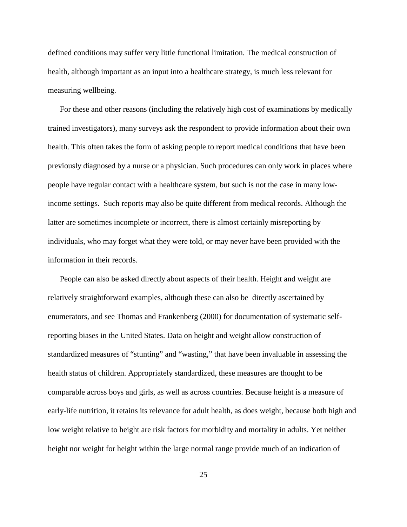defined conditions may suffer very little functional limitation. The medical construction of health, although important as an input into a healthcare strategy, is much less relevant for measuring wellbeing.

For these and other reasons (including the relatively high cost of examinations by medically trained investigators), many surveys ask the respondent to provide information about their own health. This often takes the form of asking people to report medical conditions that have been previously diagnosed by a nurse or a physician. Such procedures can only work in places where people have regular contact with a healthcare system, but such is not the case in many lowincome settings. Such reports may also be quite different from medical records. Although the latter are sometimes incomplete or incorrect, there is almost certainly misreporting by individuals, who may forget what they were told, or may never have been provided with the information in their records.

People can also be asked directly about aspects of their health. Height and weight are relatively straightforward examples, although these can also be directly ascertained by enumerators, and see Thomas and Frankenberg (2000) for documentation of systematic selfreporting biases in the United States. Data on height and weight allow construction of standardized measures of "stunting" and "wasting," that have been invaluable in assessing the health status of children. Appropriately standardized, these measures are thought to be comparable across boys and girls, as well as across countries. Because height is a measure of early-life nutrition, it retains its relevance for adult health, as does weight, because both high and low weight relative to height are risk factors for morbidity and mortality in adults. Yet neither height nor weight for height within the large normal range provide much of an indication of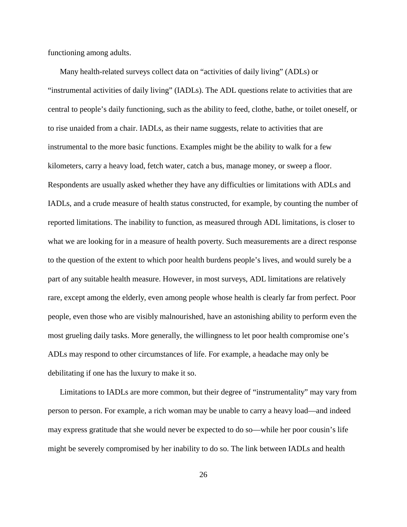functioning among adults.

Many health-related surveys collect data on "activities of daily living" (ADLs) or "instrumental activities of daily living" (IADLs). The ADL questions relate to activities that are central to people's daily functioning, such as the ability to feed, clothe, bathe, or toilet oneself, or to rise unaided from a chair. IADLs, as their name suggests, relate to activities that are instrumental to the more basic functions. Examples might be the ability to walk for a few kilometers, carry a heavy load, fetch water, catch a bus, manage money, or sweep a floor. Respondents are usually asked whether they have any difficulties or limitations with ADLs and IADLs, and a crude measure of health status constructed, for example, by counting the number of reported limitations. The inability to function, as measured through ADL limitations, is closer to what we are looking for in a measure of health poverty. Such measurements are a direct response to the question of the extent to which poor health burdens people's lives, and would surely be a part of any suitable health measure. However, in most surveys, ADL limitations are relatively rare, except among the elderly, even among people whose health is clearly far from perfect. Poor people, even those who are visibly malnourished, have an astonishing ability to perform even the most grueling daily tasks. More generally, the willingness to let poor health compromise one's ADLs may respond to other circumstances of life. For example, a headache may only be debilitating if one has the luxury to make it so.

Limitations to IADLs are more common, but their degree of "instrumentality" may vary from person to person. For example, a rich woman may be unable to carry a heavy load—and indeed may express gratitude that she would never be expected to do so—while her poor cousin's life might be severely compromised by her inability to do so. The link between IADLs and health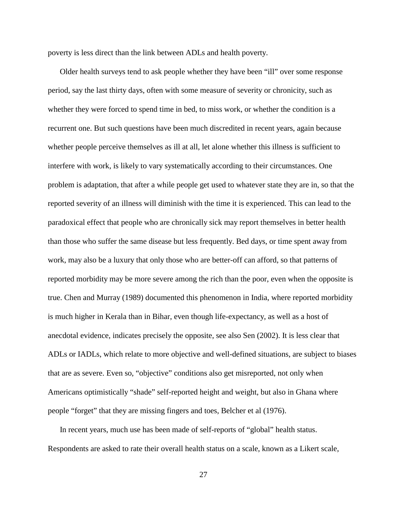poverty is less direct than the link between ADLs and health poverty.

Older health surveys tend to ask people whether they have been "ill" over some response period, say the last thirty days, often with some measure of severity or chronicity, such as whether they were forced to spend time in bed, to miss work, or whether the condition is a recurrent one. But such questions have been much discredited in recent years, again because whether people perceive themselves as ill at all, let alone whether this illness is sufficient to interfere with work, is likely to vary systematically according to their circumstances. One problem is adaptation, that after a while people get used to whatever state they are in, so that the reported severity of an illness will diminish with the time it is experienced. This can lead to the paradoxical effect that people who are chronically sick may report themselves in better health than those who suffer the same disease but less frequently. Bed days, or time spent away from work, may also be a luxury that only those who are better-off can afford, so that patterns of reported morbidity may be more severe among the rich than the poor, even when the opposite is true. Chen and Murray (1989) documented this phenomenon in India, where reported morbidity is much higher in Kerala than in Bihar, even though life-expectancy, as well as a host of anecdotal evidence, indicates precisely the opposite, see also Sen (2002). It is less clear that ADLs or IADLs, which relate to more objective and well-defined situations, are subject to biases that are as severe. Even so, "objective" conditions also get misreported, not only when Americans optimistically "shade" self-reported height and weight, but also in Ghana where people "forget" that they are missing fingers and toes, Belcher et al (1976).

In recent years, much use has been made of self-reports of "global" health status. Respondents are asked to rate their overall health status on a scale, known as a Likert scale,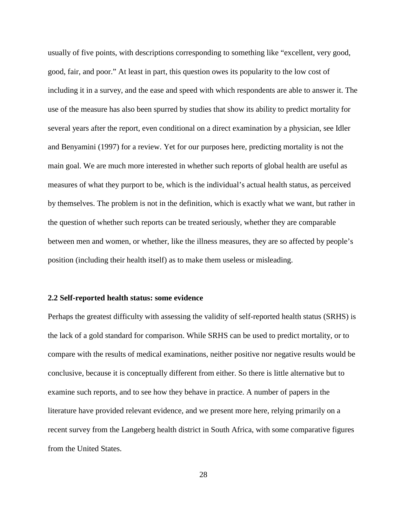usually of five points, with descriptions corresponding to something like "excellent, very good, good, fair, and poor." At least in part, this question owes its popularity to the low cost of including it in a survey, and the ease and speed with which respondents are able to answer it. The use of the measure has also been spurred by studies that show its ability to predict mortality for several years after the report, even conditional on a direct examination by a physician, see Idler and Benyamini (1997) for a review. Yet for our purposes here, predicting mortality is not the main goal. We are much more interested in whether such reports of global health are useful as measures of what they purport to be, which is the individual's actual health status, as perceived by themselves. The problem is not in the definition, which is exactly what we want, but rather in the question of whether such reports can be treated seriously, whether they are comparable between men and women, or whether, like the illness measures, they are so affected by people's position (including their health itself) as to make them useless or misleading.

#### **2.2 Self-reported health status: some evidence**

Perhaps the greatest difficulty with assessing the validity of self-reported health status (SRHS) is the lack of a gold standard for comparison. While SRHS can be used to predict mortality, or to compare with the results of medical examinations, neither positive nor negative results would be conclusive, because it is conceptually different from either. So there is little alternative but to examine such reports, and to see how they behave in practice. A number of papers in the literature have provided relevant evidence, and we present more here, relying primarily on a recent survey from the Langeberg health district in South Africa, with some comparative figures from the United States.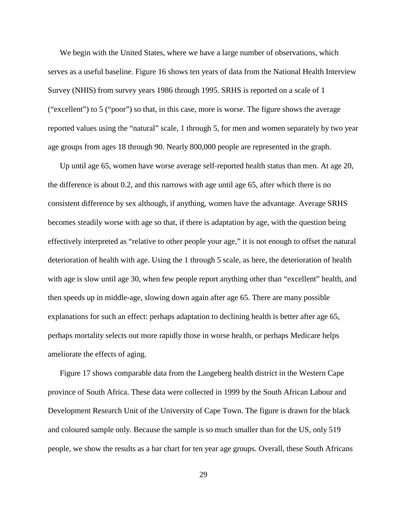We begin with the United States, where we have a large number of observations, which serves as a useful baseline. Figure 16 shows ten years of data from the National Health Interview Survey (NHIS) from survey years 1986 through 1995. SRHS is reported on a scale of 1 ("excellent") to 5 ("poor") so that, in this case, more is worse. The figure shows the average reported values using the "natural" scale, 1 through 5, for men and women separately by two year age groups from ages 18 through 90. Nearly 800,000 people are represented in the graph.

Up until age 65, women have worse average self-reported health status than men. At age 20, the difference is about 0.2, and this narrows with age until age 65, after which there is no consistent difference by sex although, if anything, women have the advantage. Average SRHS becomes steadily worse with age so that, if there is adaptation by age, with the question being effectively interpreted as "relative to other people your age," it is not enough to offset the natural deterioration of health with age. Using the 1 through 5 scale, as here, the deterioration of health with age is slow until age 30, when few people report anything other than "excellent" health, and then speeds up in middle-age, slowing down again after age 65. There are many possible explanations for such an effect: perhaps adaptation to declining health is better after age 65, perhaps mortality selects out more rapidly those in worse health, or perhaps Medicare helps ameliorate the effects of aging.

Figure 17 shows comparable data from the Langeberg health district in the Western Cape province of South Africa. These data were collected in 1999 by the South African Labour and Development Research Unit of the University of Cape Town. The figure is drawn for the black and coloured sample only. Because the sample is so much smaller than for the US, only 519 people, we show the results as a bar chart for ten year age groups. Overall, these South Africans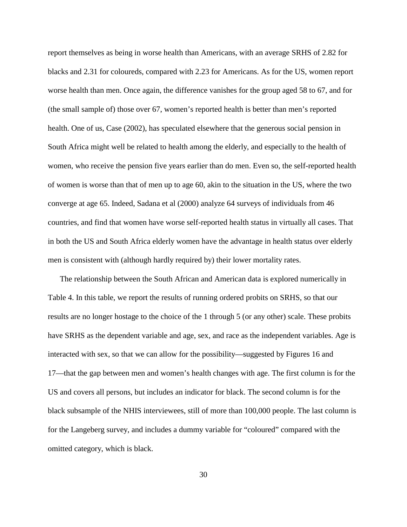report themselves as being in worse health than Americans, with an average SRHS of 2.82 for blacks and 2.31 for coloureds, compared with 2.23 for Americans. As for the US, women report worse health than men. Once again, the difference vanishes for the group aged 58 to 67, and for (the small sample of) those over 67, women's reported health is better than men's reported health. One of us, Case (2002), has speculated elsewhere that the generous social pension in South Africa might well be related to health among the elderly, and especially to the health of women, who receive the pension five years earlier than do men. Even so, the self-reported health of women is worse than that of men up to age 60, akin to the situation in the US, where the two converge at age 65. Indeed, Sadana et al (2000) analyze 64 surveys of individuals from 46 countries, and find that women have worse self-reported health status in virtually all cases. That in both the US and South Africa elderly women have the advantage in health status over elderly men is consistent with (although hardly required by) their lower mortality rates.

The relationship between the South African and American data is explored numerically in Table 4. In this table, we report the results of running ordered probits on SRHS, so that our results are no longer hostage to the choice of the 1 through 5 (or any other) scale. These probits have SRHS as the dependent variable and age, sex, and race as the independent variables. Age is interacted with sex, so that we can allow for the possibility—suggested by Figures 16 and 17—that the gap between men and women's health changes with age. The first column is for the US and covers all persons, but includes an indicator for black. The second column is for the black subsample of the NHIS interviewees, still of more than 100,000 people. The last column is for the Langeberg survey, and includes a dummy variable for "coloured" compared with the omitted category, which is black.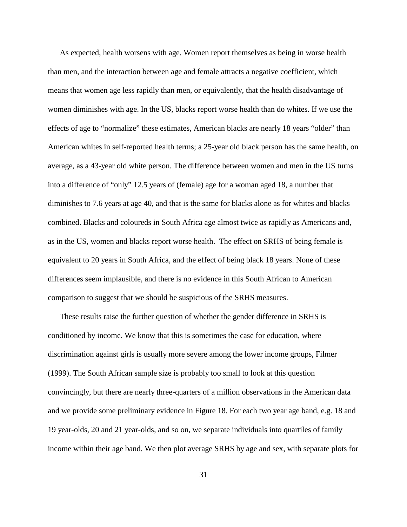As expected, health worsens with age. Women report themselves as being in worse health than men, and the interaction between age and female attracts a negative coefficient, which means that women age less rapidly than men, or equivalently, that the health disadvantage of women diminishes with age. In the US, blacks report worse health than do whites. If we use the effects of age to "normalize" these estimates, American blacks are nearly 18 years "older" than American whites in self-reported health terms; a 25-year old black person has the same health, on average, as a 43-year old white person. The difference between women and men in the US turns into a difference of "only" 12.5 years of (female) age for a woman aged 18, a number that diminishes to 7.6 years at age 40, and that is the same for blacks alone as for whites and blacks combined. Blacks and coloureds in South Africa age almost twice as rapidly as Americans and, as in the US, women and blacks report worse health. The effect on SRHS of being female is equivalent to 20 years in South Africa, and the effect of being black 18 years. None of these differences seem implausible, and there is no evidence in this South African to American comparison to suggest that we should be suspicious of the SRHS measures.

These results raise the further question of whether the gender difference in SRHS is conditioned by income. We know that this is sometimes the case for education, where discrimination against girls is usually more severe among the lower income groups, Filmer (1999). The South African sample size is probably too small to look at this question convincingly, but there are nearly three-quarters of a million observations in the American data and we provide some preliminary evidence in Figure 18. For each two year age band, e.g. 18 and 19 year-olds, 20 and 21 year-olds, and so on, we separate individuals into quartiles of family income within their age band. We then plot average SRHS by age and sex, with separate plots for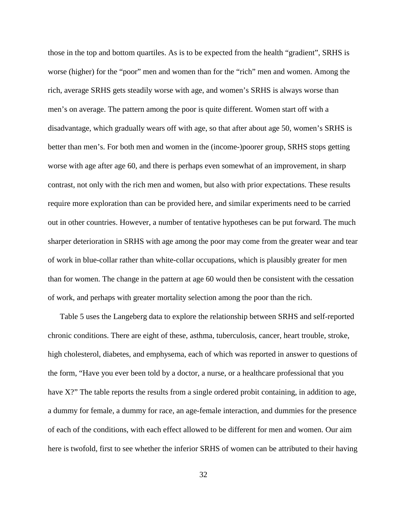those in the top and bottom quartiles. As is to be expected from the health "gradient", SRHS is worse (higher) for the "poor" men and women than for the "rich" men and women. Among the rich, average SRHS gets steadily worse with age, and women's SRHS is always worse than men's on average. The pattern among the poor is quite different. Women start off with a disadvantage, which gradually wears off with age, so that after about age 50, women's SRHS is better than men's. For both men and women in the (income-)poorer group, SRHS stops getting worse with age after age 60, and there is perhaps even somewhat of an improvement, in sharp contrast, not only with the rich men and women, but also with prior expectations. These results require more exploration than can be provided here, and similar experiments need to be carried out in other countries. However, a number of tentative hypotheses can be put forward. The much sharper deterioration in SRHS with age among the poor may come from the greater wear and tear of work in blue-collar rather than white-collar occupations, which is plausibly greater for men than for women. The change in the pattern at age 60 would then be consistent with the cessation of work, and perhaps with greater mortality selection among the poor than the rich.

Table 5 uses the Langeberg data to explore the relationship between SRHS and self-reported chronic conditions. There are eight of these, asthma, tuberculosis, cancer, heart trouble, stroke, high cholesterol, diabetes, and emphysema, each of which was reported in answer to questions of the form, "Have you ever been told by a doctor, a nurse, or a healthcare professional that you have X?" The table reports the results from a single ordered probit containing, in addition to age, a dummy for female, a dummy for race, an age-female interaction, and dummies for the presence of each of the conditions, with each effect allowed to be different for men and women. Our aim here is twofold, first to see whether the inferior SRHS of women can be attributed to their having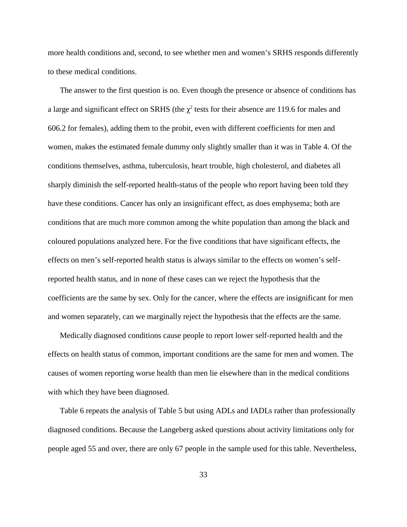more health conditions and, second, to see whether men and women's SRHS responds differently to these medical conditions.

The answer to the first question is no. Even though the presence or absence of conditions has a large and significant effect on SRHS (the  $\chi^2$  tests for their absence are 119.6 for males and 606.2 for females), adding them to the probit, even with different coefficients for men and women, makes the estimated female dummy only slightly smaller than it was in Table 4. Of the conditions themselves, asthma, tuberculosis, heart trouble, high cholesterol, and diabetes all sharply diminish the self-reported health-status of the people who report having been told they have these conditions. Cancer has only an insignificant effect, as does emphysema; both are conditions that are much more common among the white population than among the black and coloured populations analyzed here. For the five conditions that have significant effects, the effects on men's self-reported health status is always similar to the effects on women's selfreported health status, and in none of these cases can we reject the hypothesis that the coefficients are the same by sex. Only for the cancer, where the effects are insignificant for men and women separately, can we marginally reject the hypothesis that the effects are the same.

Medically diagnosed conditions cause people to report lower self-reported health and the effects on health status of common, important conditions are the same for men and women. The causes of women reporting worse health than men lie elsewhere than in the medical conditions with which they have been diagnosed.

Table 6 repeats the analysis of Table 5 but using ADLs and IADLs rather than professionally diagnosed conditions. Because the Langeberg asked questions about activity limitations only for people aged 55 and over, there are only 67 people in the sample used for this table. Nevertheless,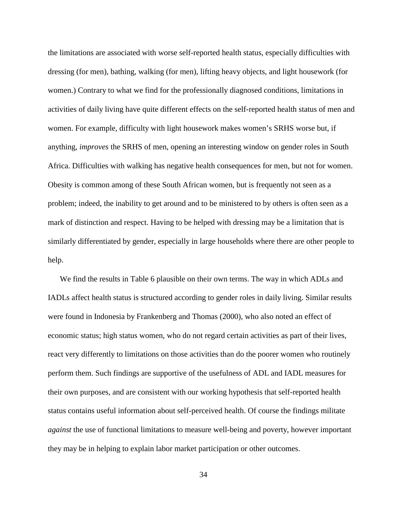the limitations are associated with worse self-reported health status, especially difficulties with dressing (for men), bathing, walking (for men), lifting heavy objects, and light housework (for women.) Contrary to what we find for the professionally diagnosed conditions, limitations in activities of daily living have quite different effects on the self-reported health status of men and women. For example, difficulty with light housework makes women's SRHS worse but, if anything, *improves* the SRHS of men, opening an interesting window on gender roles in South Africa. Difficulties with walking has negative health consequences for men, but not for women. Obesity is common among of these South African women, but is frequently not seen as a problem; indeed, the inability to get around and to be ministered to by others is often seen as a mark of distinction and respect. Having to be helped with dressing may be a limitation that is similarly differentiated by gender, especially in large households where there are other people to help.

We find the results in Table 6 plausible on their own terms. The way in which ADLs and IADLs affect health status is structured according to gender roles in daily living. Similar results were found in Indonesia by Frankenberg and Thomas (2000), who also noted an effect of economic status; high status women, who do not regard certain activities as part of their lives, react very differently to limitations on those activities than do the poorer women who routinely perform them. Such findings are supportive of the usefulness of ADL and IADL measures for their own purposes, and are consistent with our working hypothesis that self-reported health status contains useful information about self-perceived health. Of course the findings militate *against* the use of functional limitations to measure well-being and poverty, however important they may be in helping to explain labor market participation or other outcomes.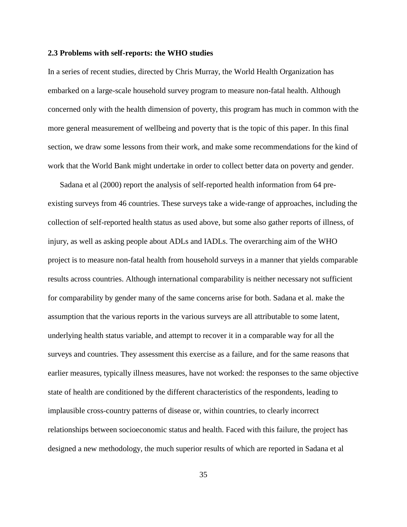#### **2.3 Problems with self-reports: the WHO studies**

In a series of recent studies, directed by Chris Murray, the World Health Organization has embarked on a large-scale household survey program to measure non-fatal health. Although concerned only with the health dimension of poverty, this program has much in common with the more general measurement of wellbeing and poverty that is the topic of this paper. In this final section, we draw some lessons from their work, and make some recommendations for the kind of work that the World Bank might undertake in order to collect better data on poverty and gender.

Sadana et al (2000) report the analysis of self-reported health information from 64 preexisting surveys from 46 countries. These surveys take a wide-range of approaches, including the collection of self-reported health status as used above, but some also gather reports of illness, of injury, as well as asking people about ADLs and IADLs. The overarching aim of the WHO project is to measure non-fatal health from household surveys in a manner that yields comparable results across countries. Although international comparability is neither necessary not sufficient for comparability by gender many of the same concerns arise for both. Sadana et al. make the assumption that the various reports in the various surveys are all attributable to some latent, underlying health status variable, and attempt to recover it in a comparable way for all the surveys and countries. They assessment this exercise as a failure, and for the same reasons that earlier measures, typically illness measures, have not worked: the responses to the same objective state of health are conditioned by the different characteristics of the respondents, leading to implausible cross-country patterns of disease or, within countries, to clearly incorrect relationships between socioeconomic status and health. Faced with this failure, the project has designed a new methodology, the much superior results of which are reported in Sadana et al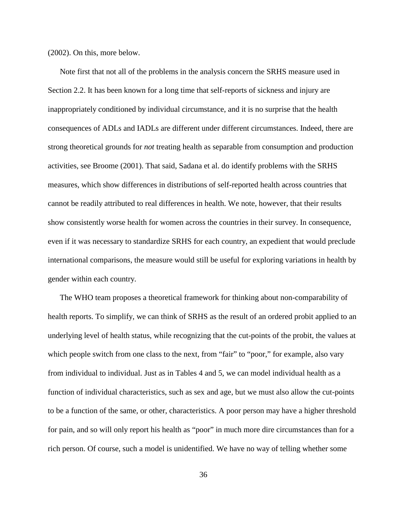(2002). On this, more below.

Note first that not all of the problems in the analysis concern the SRHS measure used in Section 2.2. It has been known for a long time that self-reports of sickness and injury are inappropriately conditioned by individual circumstance, and it is no surprise that the health consequences of ADLs and IADLs are different under different circumstances. Indeed, there are strong theoretical grounds for *not* treating health as separable from consumption and production activities, see Broome (2001). That said, Sadana et al. do identify problems with the SRHS measures, which show differences in distributions of self-reported health across countries that cannot be readily attributed to real differences in health. We note, however, that their results show consistently worse health for women across the countries in their survey. In consequence, even if it was necessary to standardize SRHS for each country, an expedient that would preclude international comparisons, the measure would still be useful for exploring variations in health by gender within each country.

The WHO team proposes a theoretical framework for thinking about non-comparability of health reports. To simplify, we can think of SRHS as the result of an ordered probit applied to an underlying level of health status, while recognizing that the cut-points of the probit, the values at which people switch from one class to the next, from "fair" to "poor," for example, also vary from individual to individual. Just as in Tables 4 and 5, we can model individual health as a function of individual characteristics, such as sex and age, but we must also allow the cut-points to be a function of the same, or other, characteristics. A poor person may have a higher threshold for pain, and so will only report his health as "poor" in much more dire circumstances than for a rich person. Of course, such a model is unidentified. We have no way of telling whether some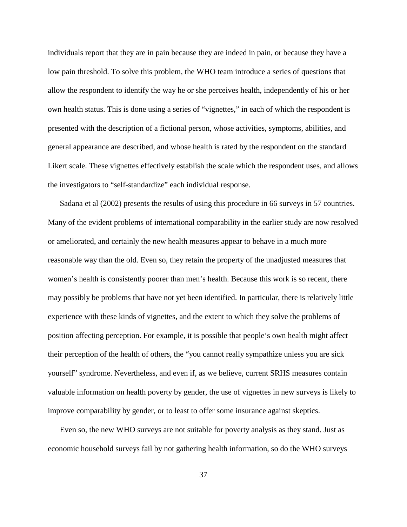individuals report that they are in pain because they are indeed in pain, or because they have a low pain threshold. To solve this problem, the WHO team introduce a series of questions that allow the respondent to identify the way he or she perceives health, independently of his or her own health status. This is done using a series of "vignettes," in each of which the respondent is presented with the description of a fictional person, whose activities, symptoms, abilities, and general appearance are described, and whose health is rated by the respondent on the standard Likert scale. These vignettes effectively establish the scale which the respondent uses, and allows the investigators to "self-standardize" each individual response.

Sadana et al (2002) presents the results of using this procedure in 66 surveys in 57 countries. Many of the evident problems of international comparability in the earlier study are now resolved or ameliorated, and certainly the new health measures appear to behave in a much more reasonable way than the old. Even so, they retain the property of the unadjusted measures that women's health is consistently poorer than men's health. Because this work is so recent, there may possibly be problems that have not yet been identified. In particular, there is relatively little experience with these kinds of vignettes, and the extent to which they solve the problems of position affecting perception. For example, it is possible that people's own health might affect their perception of the health of others, the "you cannot really sympathize unless you are sick yourself" syndrome. Nevertheless, and even if, as we believe, current SRHS measures contain valuable information on health poverty by gender, the use of vignettes in new surveys is likely to improve comparability by gender, or to least to offer some insurance against skeptics.

Even so, the new WHO surveys are not suitable for poverty analysis as they stand. Just as economic household surveys fail by not gathering health information, so do the WHO surveys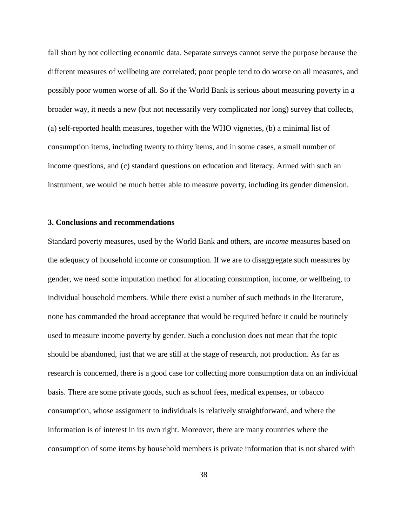fall short by not collecting economic data. Separate surveys cannot serve the purpose because the different measures of wellbeing are correlated; poor people tend to do worse on all measures, and possibly poor women worse of all. So if the World Bank is serious about measuring poverty in a broader way, it needs a new (but not necessarily very complicated nor long) survey that collects, (a) self-reported health measures, together with the WHO vignettes, (b) a minimal list of consumption items, including twenty to thirty items, and in some cases, a small number of income questions, and (c) standard questions on education and literacy. Armed with such an instrument, we would be much better able to measure poverty, including its gender dimension.

## **3. Conclusions and recommendations**

Standard poverty measures, used by the World Bank and others, are *income* measures based on the adequacy of household income or consumption. If we are to disaggregate such measures by gender, we need some imputation method for allocating consumption, income, or wellbeing, to individual household members. While there exist a number of such methods in the literature, none has commanded the broad acceptance that would be required before it could be routinely used to measure income poverty by gender. Such a conclusion does not mean that the topic should be abandoned, just that we are still at the stage of research, not production. As far as research is concerned, there is a good case for collecting more consumption data on an individual basis. There are some private goods, such as school fees, medical expenses, or tobacco consumption, whose assignment to individuals is relatively straightforward, and where the information is of interest in its own right. Moreover, there are many countries where the consumption of some items by household members is private information that is not shared with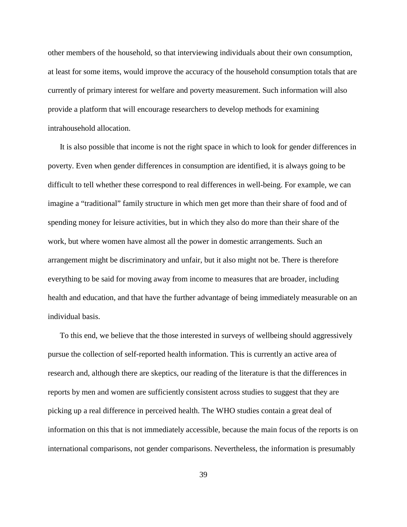other members of the household, so that interviewing individuals about their own consumption, at least for some items, would improve the accuracy of the household consumption totals that are currently of primary interest for welfare and poverty measurement. Such information will also provide a platform that will encourage researchers to develop methods for examining intrahousehold allocation.

It is also possible that income is not the right space in which to look for gender differences in poverty. Even when gender differences in consumption are identified, it is always going to be difficult to tell whether these correspond to real differences in well-being. For example, we can imagine a "traditional" family structure in which men get more than their share of food and of spending money for leisure activities, but in which they also do more than their share of the work, but where women have almost all the power in domestic arrangements. Such an arrangement might be discriminatory and unfair, but it also might not be. There is therefore everything to be said for moving away from income to measures that are broader, including health and education, and that have the further advantage of being immediately measurable on an individual basis.

To this end, we believe that the those interested in surveys of wellbeing should aggressively pursue the collection of self-reported health information. This is currently an active area of research and, although there are skeptics, our reading of the literature is that the differences in reports by men and women are sufficiently consistent across studies to suggest that they are picking up a real difference in perceived health. The WHO studies contain a great deal of information on this that is not immediately accessible, because the main focus of the reports is on international comparisons, not gender comparisons. Nevertheless, the information is presumably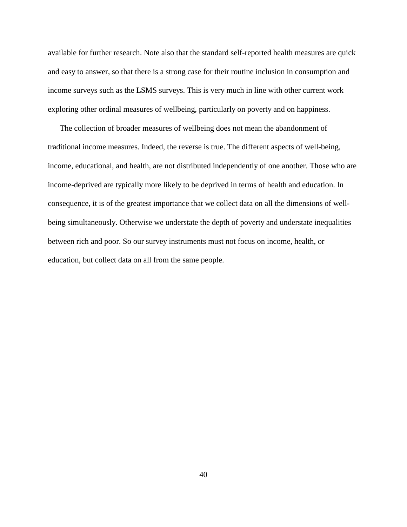available for further research. Note also that the standard self-reported health measures are quick and easy to answer, so that there is a strong case for their routine inclusion in consumption and income surveys such as the LSMS surveys. This is very much in line with other current work exploring other ordinal measures of wellbeing, particularly on poverty and on happiness.

The collection of broader measures of wellbeing does not mean the abandonment of traditional income measures. Indeed, the reverse is true. The different aspects of well-being, income, educational, and health, are not distributed independently of one another. Those who are income-deprived are typically more likely to be deprived in terms of health and education. In consequence, it is of the greatest importance that we collect data on all the dimensions of wellbeing simultaneously. Otherwise we understate the depth of poverty and understate inequalities between rich and poor. So our survey instruments must not focus on income, health, or education, but collect data on all from the same people.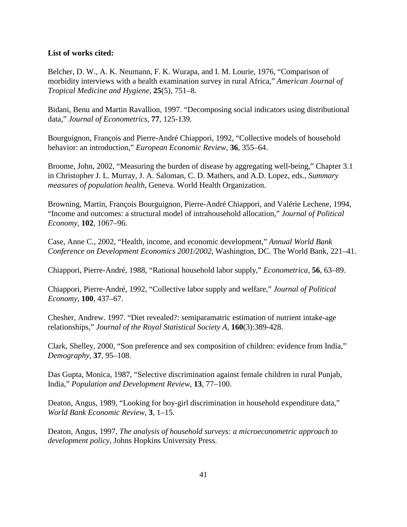# **List of works cited:**

Belcher, D. W., A. K. Neumann, F. K. Wurapa, and I. M. Lourie, 1976, "Comparison of morbidity interviews with a health examination survey in rural Africa," *American Journal of Tropical Medicine and Hygiene*, **25**(5), 751–8.

Bidani, Benu and Martin Ravallion, 1997. "Decomposing social indicators using distributional data," *Journal of Econometrics*, **77**, 125-139.

Bourguignon, François and Pierre-André Chiappori, 1992, "Collective models of household behavior: an introduction," *European Economic Review*, **36**, 355–64.

Broome, John, 2002, "Measuring the burden of disease by aggregating well-being," Chapter 3.1 in Christopher J. L. Murray, J. A. Saloman, C. D. Mathers, and A.D. Lopez, eds., *Summary measures of population health*, Geneva. World Health Organization.

Browning, Martin, François Bourguignon, Pierre-André Chiappori, and Valérie Lechene, 1994, "Income and outcomes: a structural model of intrahousehold allocation," *Journal of Political Economy*, **102**, 1067–96.

Case, Anne C., 2002, "Health, income, and economic development," *Annual World Bank Conference on Development Economics 2001/2002*, Washington, DC. The World Bank, 221–41.

Chiappori, Pierre-André, 1988, "Rational household labor supply," *Econometrica*, **56**, 63–89.

Chiappori, Pierre-André, 1992, "Collective labor supply and welfare," *Journal of Political Economy*, **100**, 437–67.

Chesher, Andrew. 1997. "Diet revealed?: semiparamatric estimation of nutrient intake-age relationships," *Journal of the Royal Statistical Society A*, **160**(3):389-428.

Clark, Shelley, 2000, "Son preference and sex composition of children: evidence from India," *Demography*, **37**, 95–108.

Das Gupta, Monica, 1987, "Selective discrimination against female children in rural Punjab, India," *Population and Development Review*, **13**, 77–100.

Deaton, Angus, 1989, "Looking for boy-girl discrimination in household expenditure data," *World Bank Economic Review*, **3**, 1–15.

Deaton, Angus, 1997, *The analysis of household surveys: a microeconometric approach to development policy*, Johns Hopkins University Press.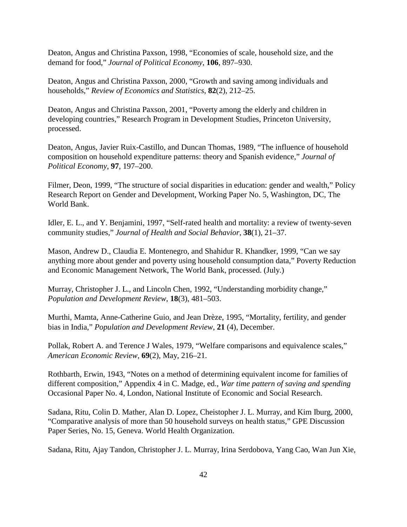Deaton, Angus and Christina Paxson, 1998, "Economies of scale, household size, and the demand for food," *Journal of Political Economy*, **106**, 897–930.

Deaton, Angus and Christina Paxson, 2000, "Growth and saving among individuals and households," *Review of Economics and Statistics*, **82**(2), 212–25.

Deaton, Angus and Christina Paxson, 2001, "Poverty among the elderly and children in developing countries," Research Program in Development Studies, Princeton University, processed.

Deaton, Angus, Javier Ruix-Castillo, and Duncan Thomas, 1989, "The influence of household composition on household expenditure patterns: theory and Spanish evidence," *Journal of Political Economy*, **97**, 197–200.

Filmer, Deon, 1999, "The structure of social disparities in education: gender and wealth," Policy Research Report on Gender and Development, Working Paper No. 5, Washington, DC, The World Bank.

Idler, E. L., and Y. Benjamini, 1997, "Self-rated health and mortality: a review of twenty-seven community studies," *Journal of Health and Social Behavior*, **38**(1), 21–37.

Mason, Andrew D., Claudia E. Montenegro, and Shahidur R. Khandker, 1999, "Can we say anything more about gender and poverty using household consumption data," Poverty Reduction and Economic Management Network, The World Bank, processed. (July.)

Murray, Christopher J. L., and Lincoln Chen, 1992, "Understanding morbidity change," *Population and Development Review*, **18**(3), 481–503.

Murthi, Mamta, Anne-Catherine Guio, and Jean Drèze, 1995, "Mortality, fertility, and gender bias in India," *Population and Development Review*, **21** (4), December.

Pollak, Robert A. and Terence J Wales, 1979, "Welfare comparisons and equivalence scales," *American Economic Review*, **69**(2), May, 216–21.

Rothbarth, Erwin, 1943, "Notes on a method of determining equivalent income for families of different composition," Appendix 4 in C. Madge, ed., *War time pattern of saving and spending* Occasional Paper No. 4, London, National Institute of Economic and Social Research.

Sadana, Ritu, Colin D. Mather, Alan D. Lopez, Cheistopher J. L. Murray, and Kim Iburg, 2000, "Comparative analysis of more than 50 household surveys on health status," GPE Discussion Paper Series, No. 15, Geneva. World Health Organization.

Sadana, Ritu, Ajay Tandon, Christopher J. L. Murray, Irina Serdobova, Yang Cao, Wan Jun Xie,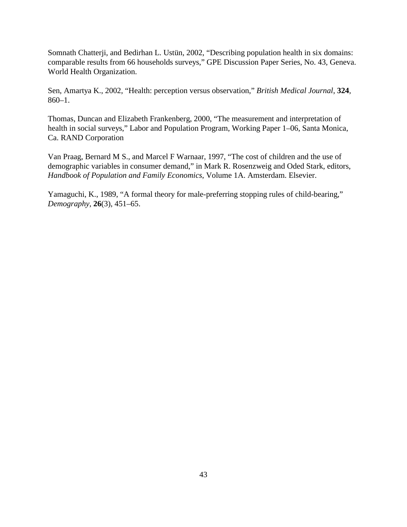Somnath Chatterji, and Bedirhan L. Ustün, 2002, "Describing population health in six domains: comparable results from 66 households surveys," GPE Discussion Paper Series, No. 43, Geneva. World Health Organization.

Sen, Amartya K., 2002, "Health: perception versus observation," *British Medical Journal*, **324**, 860–1.

Thomas, Duncan and Elizabeth Frankenberg, 2000, "The measurement and interpretation of health in social surveys," Labor and Population Program, Working Paper 1–06, Santa Monica, Ca. RAND Corporation

Van Praag, Bernard M S., and Marcel F Warnaar, 1997, "The cost of children and the use of demographic variables in consumer demand," in Mark R. Rosenzweig and Oded Stark, editors, *Handbook of Population and Family Economics*, Volume 1A. Amsterdam. Elsevier.

Yamaguchi, K., 1989, "A formal theory for male-preferring stopping rules of child-bearing," *Demography*, **26**(3), 451–65.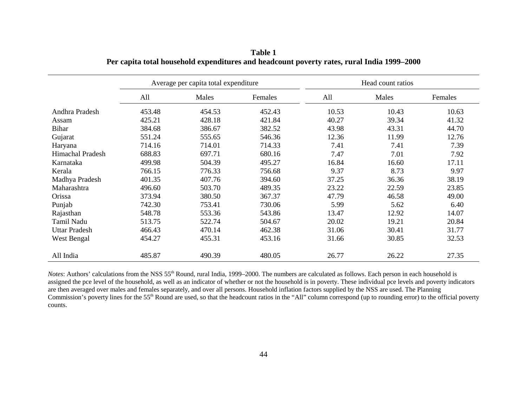|                         | Average per capita total expenditure |        |         | Head count ratios |       |         |
|-------------------------|--------------------------------------|--------|---------|-------------------|-------|---------|
|                         | All                                  | Males  | Females | All               | Males | Females |
| Andhra Pradesh          | 453.48                               | 454.53 | 452.43  | 10.53             | 10.43 | 10.63   |
| Assam                   | 425.21                               | 428.18 | 421.84  | 40.27             | 39.34 | 41.32   |
| <b>Bihar</b>            | 384.68                               | 386.67 | 382.52  | 43.98             | 43.31 | 44.70   |
| Gujarat                 | 551.24                               | 555.65 | 546.36  | 12.36             | 11.99 | 12.76   |
| Haryana                 | 714.16                               | 714.01 | 714.33  | 7.41              | 7.41  | 7.39    |
| <b>Himachal Pradesh</b> | 688.83                               | 697.71 | 680.16  | 7.47              | 7.01  | 7.92    |
| Karnataka               | 499.98                               | 504.39 | 495.27  | 16.84             | 16.60 | 17.11   |
| Kerala                  | 766.15                               | 776.33 | 756.68  | 9.37              | 8.73  | 9.97    |
| Madhya Pradesh          | 401.35                               | 407.76 | 394.60  | 37.25             | 36.36 | 38.19   |
| Maharashtra             | 496.60                               | 503.70 | 489.35  | 23.22             | 22.59 | 23.85   |
| Orissa                  | 373.94                               | 380.50 | 367.37  | 47.79             | 46.58 | 49.00   |
| Punjab                  | 742.30                               | 753.41 | 730.06  | 5.99              | 5.62  | 6.40    |
| Rajasthan               | 548.78                               | 553.36 | 543.86  | 13.47             | 12.92 | 14.07   |
| Tamil Nadu              | 513.75                               | 522.74 | 504.67  | 20.02             | 19.21 | 20.84   |
| <b>Uttar Pradesh</b>    | 466.43                               | 470.14 | 462.38  | 31.06             | 30.41 | 31.77   |
| West Bengal             | 454.27                               | 455.31 | 453.16  | 31.66             | 30.85 | 32.53   |
| All India               | 485.87                               | 490.39 | 480.05  | 26.77             | 26.22 | 27.35   |

**Table 1 Per capita total household expenditures and headcount poverty rates, rural India 1999–2000**

*Notes*: Authors' calculations from the NSS 55<sup>th</sup> Round, rural India, 1999–2000. The numbers are calculated as follows. Each person in each household is assigned the pce level of the household, as well as an indicator of whether or not the household is in poverty. These individual pce levels and poverty indicators are then averaged over males and females separately, and over all persons. Household inflation factors supplied by the NSS are used. The Planning Commission's poverty lines for the 55<sup>th</sup> Round are used, so that the headcount ratios in the "All" column correspond (up to rounding error) to the official poverty counts.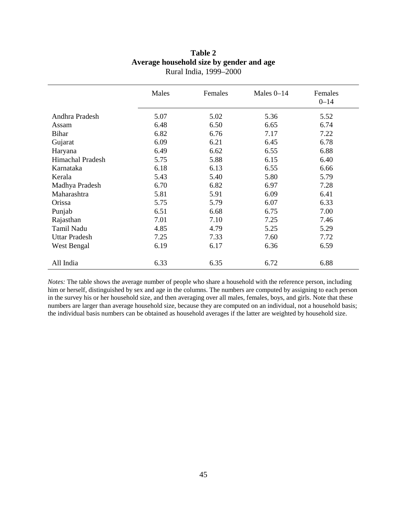|                         | Males | Females | Males $0-14$ | Females<br>$0 - 14$ |
|-------------------------|-------|---------|--------------|---------------------|
| Andhra Pradesh          | 5.07  | 5.02    | 5.36         | 5.52                |
| Assam                   | 6.48  | 6.50    | 6.65         | 6.74                |
| Bihar                   | 6.82  | 6.76    | 7.17         | 7.22                |
| Gujarat                 | 6.09  | 6.21    | 6.45         | 6.78                |
| Haryana                 | 6.49  | 6.62    | 6.55         | 6.88                |
| <b>Himachal Pradesh</b> | 5.75  | 5.88    | 6.15         | 6.40                |
| Karnataka               | 6.18  | 6.13    | 6.55         | 6.66                |
| Kerala                  | 5.43  | 5.40    | 5.80         | 5.79                |
| Madhya Pradesh          | 6.70  | 6.82    | 6.97         | 7.28                |
| Maharashtra             | 5.81  | 5.91    | 6.09         | 6.41                |
| Orissa                  | 5.75  | 5.79    | 6.07         | 6.33                |
| Punjab                  | 6.51  | 6.68    | 6.75         | 7.00                |
| Rajasthan               | 7.01  | 7.10    | 7.25         | 7.46                |
| Tamil Nadu              | 4.85  | 4.79    | 5.25         | 5.29                |
| <b>Uttar Pradesh</b>    | 7.25  | 7.33    | 7.60         | 7.72                |
| West Bengal             | 6.19  | 6.17    | 6.36         | 6.59                |
| All India               | 6.33  | 6.35    | 6.72         | 6.88                |

# **Table 2 Average household size by gender and age** Rural India, 1999–2000

*Notes:* The table shows the average number of people who share a household with the reference person, including him or herself, distinguished by sex and age in the columns. The numbers are computed by assigning to each person in the survey his or her household size, and then averaging over all males, females, boys, and girls. Note that these numbers are larger than average household size, because they are computed on an individual, not a household basis; the individual basis numbers can be obtained as household averages if the latter are weighted by household size.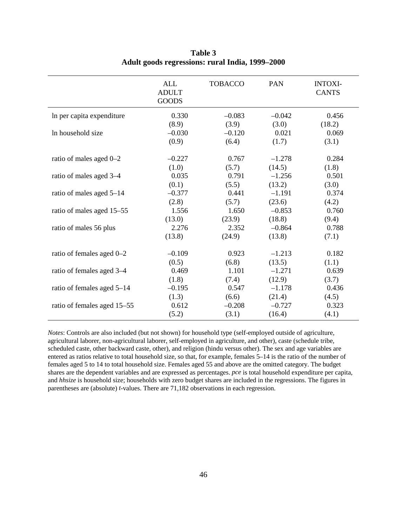|                             | <b>ALL</b><br><b>ADULT</b><br><b>GOODS</b> | <b>TOBACCO</b> | <b>PAN</b> | <b>INTOXI-</b><br><b>CANTS</b> |
|-----------------------------|--------------------------------------------|----------------|------------|--------------------------------|
| In per capita expenditure   | 0.330                                      | $-0.083$       | $-0.042$   | 0.456                          |
|                             | (8.9)                                      | (3.9)          | (3.0)      | (18.2)                         |
| In household size           | $-0.030$                                   | $-0.120$       | 0.021      | 0.069                          |
|                             | (0.9)                                      | (6.4)          | (1.7)      | (3.1)                          |
| ratio of males aged 0-2     | $-0.227$                                   | 0.767          | $-1.278$   | 0.284                          |
|                             | (1.0)                                      | (5.7)          | (14.5)     | (1.8)                          |
| ratio of males aged 3-4     | 0.035                                      | 0.791          | $-1.256$   | 0.501                          |
|                             | (0.1)                                      | (5.5)          | (13.2)     | (3.0)                          |
| ratio of males aged 5-14    | $-0.377$                                   | 0.441          | $-1.191$   | 0.374                          |
|                             | (2.8)                                      | (5.7)          | (23.6)     | (4.2)                          |
| ratio of males aged 15-55   | 1.556                                      | 1.650          | $-0.853$   | 0.760                          |
|                             | (13.0)                                     | (23.9)         | (18.8)     | (9.4)                          |
| ratio of males 56 plus      | 2.276                                      | 2.352          | $-0.864$   | 0.788                          |
|                             | (13.8)                                     | (24.9)         | (13.8)     | (7.1)                          |
| ratio of females aged 0-2   | $-0.109$                                   | 0.923          | $-1.213$   | 0.182                          |
|                             | (0.5)                                      | (6.8)          | (13.5)     | (1.1)                          |
| ratio of females aged 3-4   | 0.469                                      | 1.101          | $-1.271$   | 0.639                          |
|                             | (1.8)                                      | (7.4)          | (12.9)     | (3.7)                          |
| ratio of females aged 5-14  | $-0.195$                                   | 0.547          | $-1.178$   | 0.436                          |
|                             | (1.3)                                      | (6.6)          | (21.4)     | (4.5)                          |
| ratio of females aged 15–55 | 0.612                                      | $-0.208$       | $-0.727$   | 0.323                          |
|                             | (5.2)                                      | (3.1)          | (16.4)     | (4.1)                          |

**Table 3 Adult goods regressions: rural India, 1999–2000**

*Notes*: Controls are also included (but not shown) for household type (self-employed outside of agriculture, agricultural laborer, non-agricultural laborer, self-employed in agriculture, and other), caste (schedule tribe, scheduled caste, other backward caste, other), and religion (hindu versus other). The sex and age variables are entered as ratios relative to total household size, so that, for example, females 5–14 is the ratio of the number of females aged 5 to 14 to total household size. Females aged 55 and above are the omitted category. The budget shares are the dependent variables and are expressed as percentages. *pce* is total household expenditure per capita, and *hhsize* is household size; households with zero budget shares are included in the regressions. The figures in parentheses are (absolute) *t*-values. There are 71,182 observations in each regression.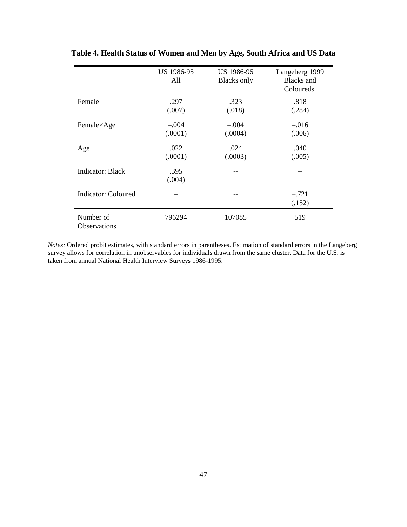|                                  | US 1986-95<br>All | US 1986-95<br><b>Blacks</b> only | Langeberg 1999<br><b>Blacks</b> and<br>Coloureds |
|----------------------------------|-------------------|----------------------------------|--------------------------------------------------|
| Female                           | .297              | .323                             | .818                                             |
|                                  | (.007)            | (.018)                           | (.284)                                           |
| Female×Age                       | $-.004$           | $-.004$                          | $-.016$                                          |
|                                  | (.0001)           | (.0004)                          | (.006)                                           |
| Age                              | .022              | .024                             | .040                                             |
|                                  | (.0001)           | (.0003)                          | (.005)                                           |
| Indicator: Black                 | .395<br>(.004)    |                                  |                                                  |
| Indicator: Coloured              |                   | --                               | $-.721$<br>(.152)                                |
| Number of<br><b>Observations</b> | 796294            | 107085                           | 519                                              |

**Table 4. Health Status of Women and Men by Age, South Africa and US Data**

*Notes:* Ordered probit estimates, with standard errors in parentheses. Estimation of standard errors in the Langeberg survey allows for correlation in unobservables for individuals drawn from the same cluster. Data for the U.S. is taken from annual National Health Interview Surveys 1986-1995.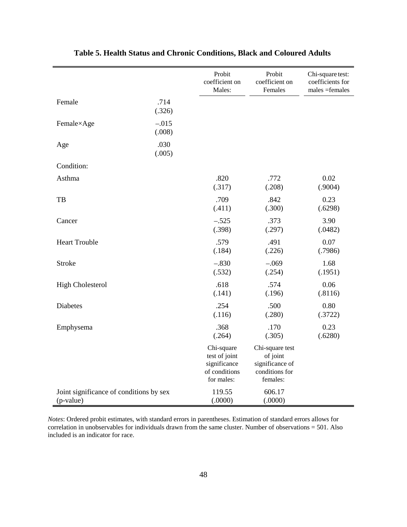|                                                      |                   | Probit<br>coefficient on<br>Males:                                         | Probit<br>coefficient on<br>Females                                          | Chi-square test:<br>coefficients for<br>$males = females$ |
|------------------------------------------------------|-------------------|----------------------------------------------------------------------------|------------------------------------------------------------------------------|-----------------------------------------------------------|
| Female                                               | .714<br>(.326)    |                                                                            |                                                                              |                                                           |
| Female×Age                                           | $-.015$<br>(.008) |                                                                            |                                                                              |                                                           |
| Age                                                  | .030<br>(.005)    |                                                                            |                                                                              |                                                           |
| Condition:                                           |                   |                                                                            |                                                                              |                                                           |
| Asthma                                               |                   | .820<br>(.317)                                                             | .772<br>(.208)                                                               | 0.02<br>(.9004)                                           |
| TB                                                   |                   | .709<br>(.411)                                                             | .842<br>(.300)                                                               | 0.23<br>(.6298)                                           |
| Cancer                                               |                   | $-.525$<br>(.398)                                                          | .373<br>(.297)                                                               | 3.90<br>(.0482)                                           |
| <b>Heart Trouble</b>                                 |                   | .579<br>(.184)                                                             | .491<br>(.226)                                                               | 0.07<br>(.7986)                                           |
| <b>Stroke</b>                                        |                   | $-.830$<br>(.532)                                                          | $-.069$<br>(.254)                                                            | 1.68<br>(.1951)                                           |
| <b>High Cholesterol</b>                              |                   | .618<br>(.141)                                                             | .574<br>(.196)                                                               | 0.06<br>(.8116)                                           |
| Diabetes                                             |                   | .254<br>(.116)                                                             | .500<br>(.280)                                                               | 0.80<br>(.3722)                                           |
| Emphysema                                            |                   | .368<br>(.264)                                                             | .170<br>(.305)                                                               | 0.23<br>(.6280)                                           |
|                                                      |                   | Chi-square<br>test of joint<br>significance<br>of conditions<br>for males: | Chi-square test<br>of joint<br>significance of<br>conditions for<br>females: |                                                           |
| Joint significance of conditions by sex<br>(p-value) |                   | 119.55<br>(.0000)                                                          | 606.17<br>(.0000)                                                            |                                                           |

# **Table 5. Health Status and Chronic Conditions, Black and Coloured Adults**

*Notes*: Ordered probit estimates, with standard errors in parentheses. Estimation of standard errors allows for correlation in unobservables for individuals drawn from the same cluster. Number of observations = 501. Also included is an indicator for race.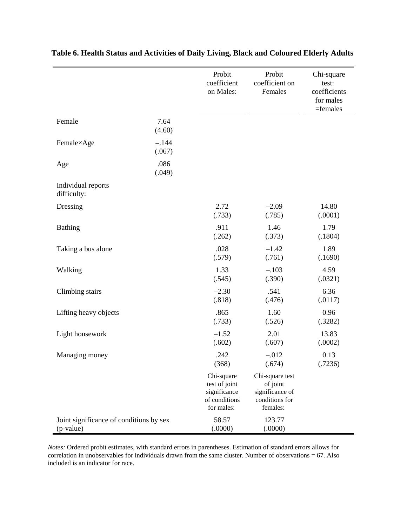|                                                      |                   | Probit<br>coefficient<br>on Males:                                         | Probit<br>coefficient on<br>Females                                          | Chi-square<br>test:<br>coefficients<br>for males<br>$=$ females |
|------------------------------------------------------|-------------------|----------------------------------------------------------------------------|------------------------------------------------------------------------------|-----------------------------------------------------------------|
| Female                                               | 7.64<br>(4.60)    |                                                                            |                                                                              |                                                                 |
| Female×Age                                           | $-.144$<br>(.067) |                                                                            |                                                                              |                                                                 |
| Age                                                  | .086<br>(.049)    |                                                                            |                                                                              |                                                                 |
| Individual reports<br>difficulty:                    |                   |                                                                            |                                                                              |                                                                 |
| Dressing                                             |                   | 2.72<br>(.733)                                                             | $-2.09$<br>(.785)                                                            | 14.80<br>(.0001)                                                |
| <b>Bathing</b>                                       |                   | .911<br>(.262)                                                             | 1.46<br>(.373)                                                               | 1.79<br>(.1804)                                                 |
| Taking a bus alone                                   |                   | .028<br>(.579)                                                             | $-1.42$<br>(.761)                                                            | 1.89<br>(.1690)                                                 |
| Walking                                              |                   | 1.33<br>(.545)                                                             | $-.103$<br>(.390)                                                            | 4.59<br>(.0321)                                                 |
| Climbing stairs                                      |                   | $-2.30$<br>(.818)                                                          | .541<br>(.476)                                                               | 6.36<br>(.0117)                                                 |
| Lifting heavy objects                                |                   | .865<br>(.733)                                                             | 1.60<br>(.526)                                                               | 0.96<br>(.3282)                                                 |
| Light housework                                      |                   | $-1.52$<br>(.602)                                                          | 2.01<br>(.607)                                                               | 13.83<br>(.0002)                                                |
| Managing money                                       |                   | .242<br>(368)                                                              | $-.012$<br>(.674)                                                            | 0.13<br>(.7236)                                                 |
|                                                      |                   | Chi-square<br>test of joint<br>significance<br>of conditions<br>for males: | Chi-square test<br>of joint<br>significance of<br>conditions for<br>females: |                                                                 |
| Joint significance of conditions by sex<br>(p-value) |                   | 58.57<br>(.0000)                                                           | 123.77<br>(.0000)                                                            |                                                                 |

**Table 6. Health Status and Activities of Daily Living, Black and Coloured Elderly Adults** 

*Notes:* Ordered probit estimates, with standard errors in parentheses. Estimation of standard errors allows for correlation in unobservables for individuals drawn from the same cluster. Number of observations = 67. Also included is an indicator for race.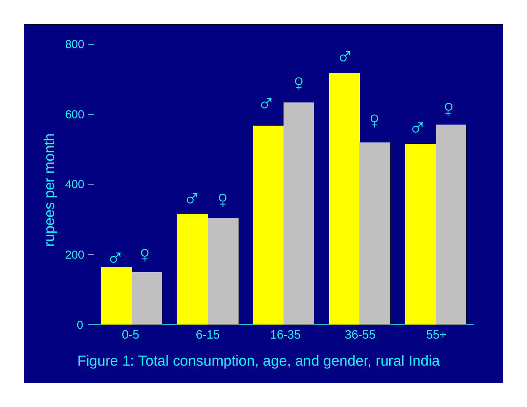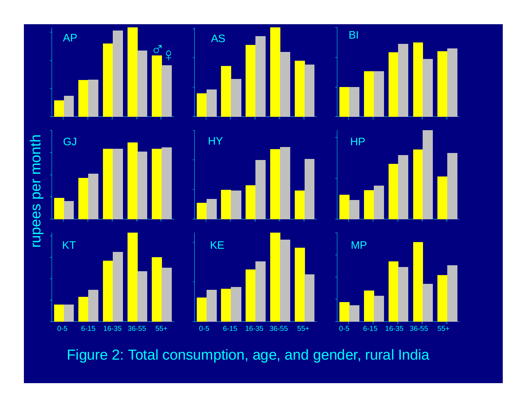

Figure 2: Total consumption, age, and gender, rural India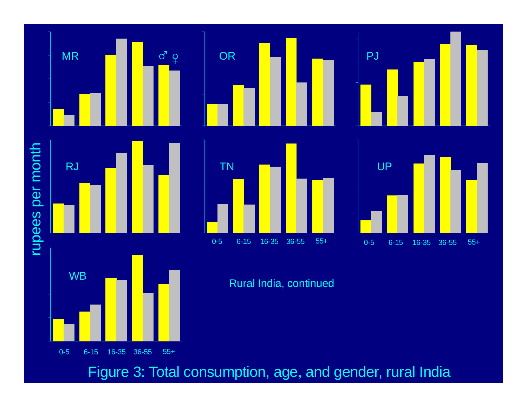![](_page_53_Figure_0.jpeg)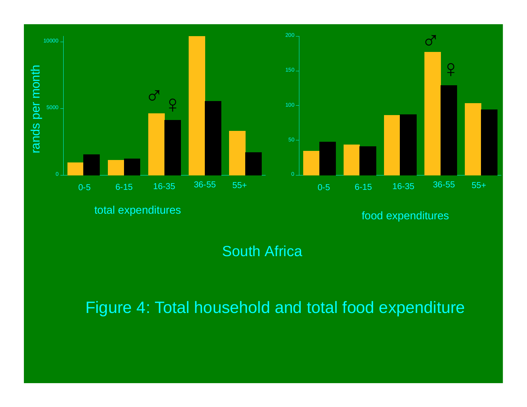![](_page_54_Figure_0.jpeg)

total expenditures and the state of the state of the state of the state of the state of the state of the state o

South Africa

Figure 4: Total household and total food expenditure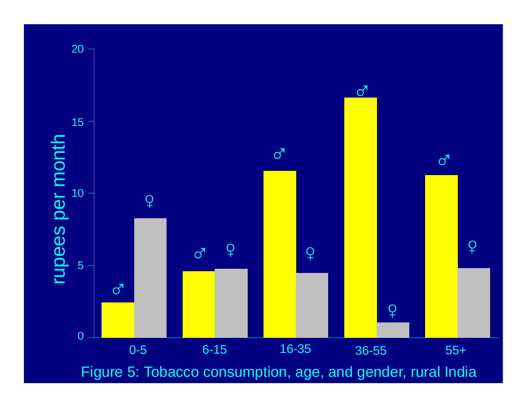![](_page_55_Figure_0.jpeg)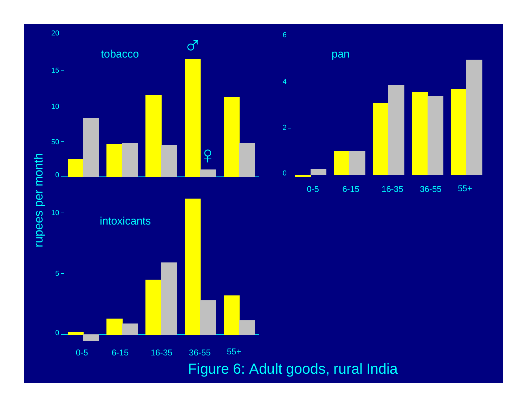![](_page_56_Figure_0.jpeg)

55+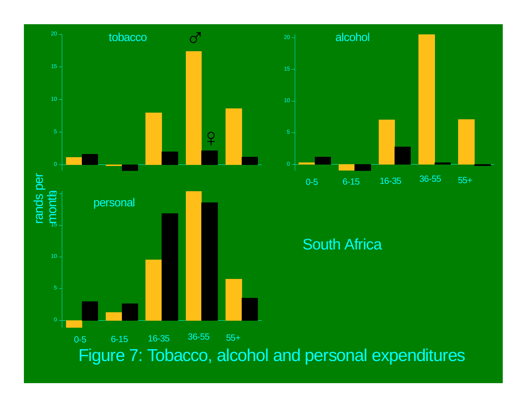![](_page_57_Figure_0.jpeg)

![](_page_57_Figure_1.jpeg)

South Africa

Figure 7: Tobacco, alcohol and personal expenditures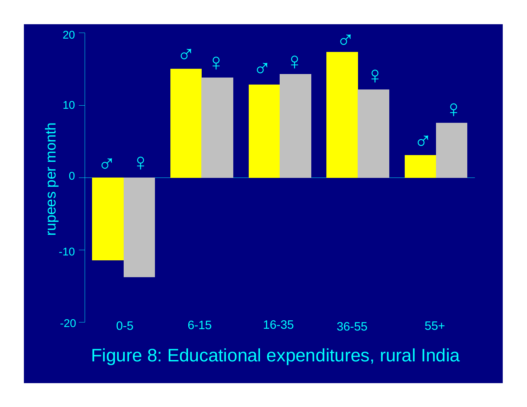![](_page_58_Figure_0.jpeg)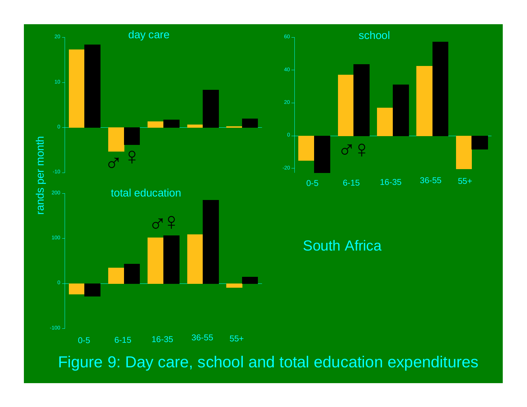![](_page_59_Figure_0.jpeg)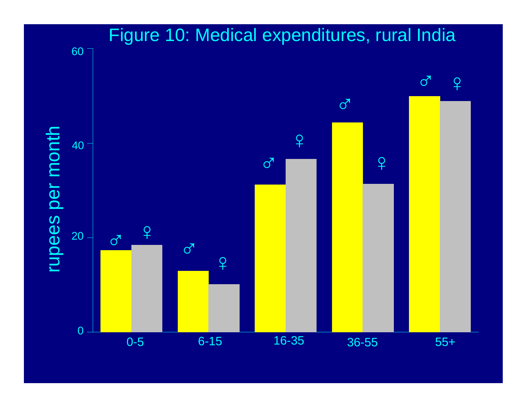![](_page_60_Figure_0.jpeg)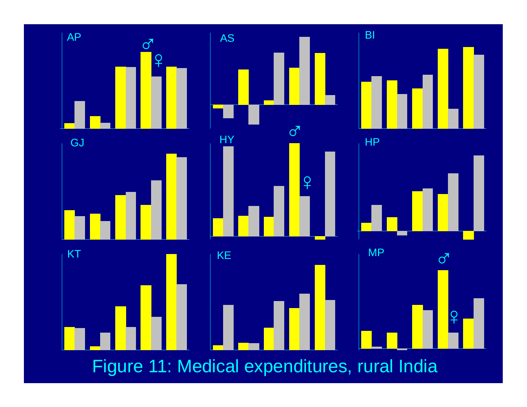![](_page_61_Figure_0.jpeg)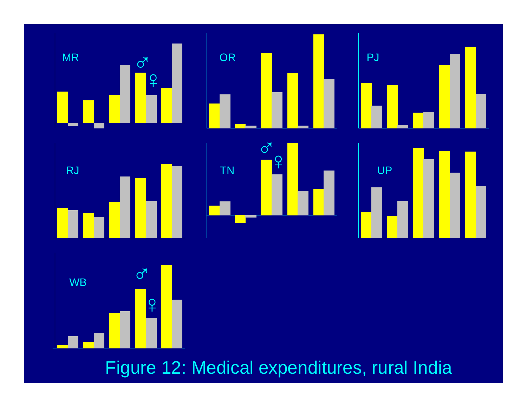![](_page_62_Figure_0.jpeg)

Figure 12: Medical expenditures, rural India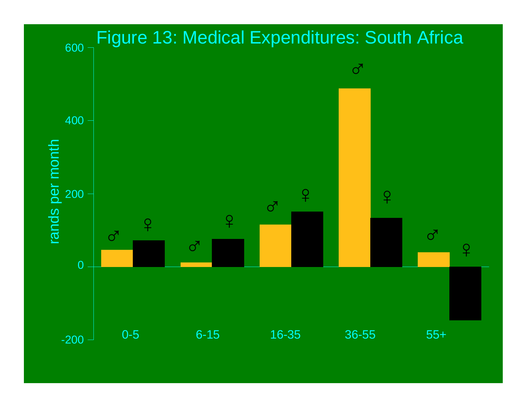![](_page_63_Figure_0.jpeg)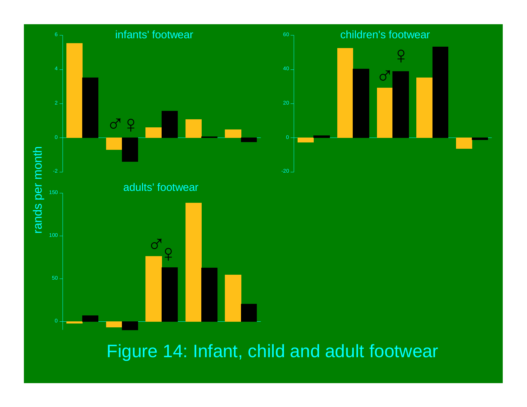![](_page_64_Figure_0.jpeg)

Figure 14: Infant, child and adult footwear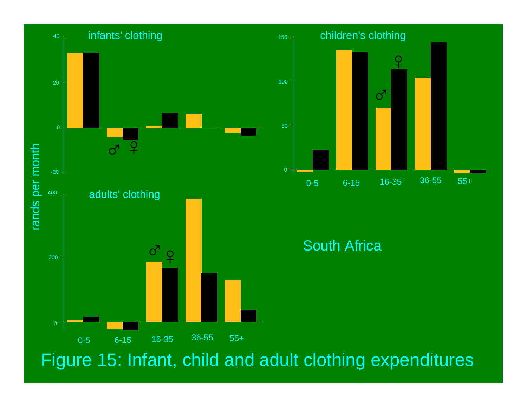![](_page_65_Figure_0.jpeg)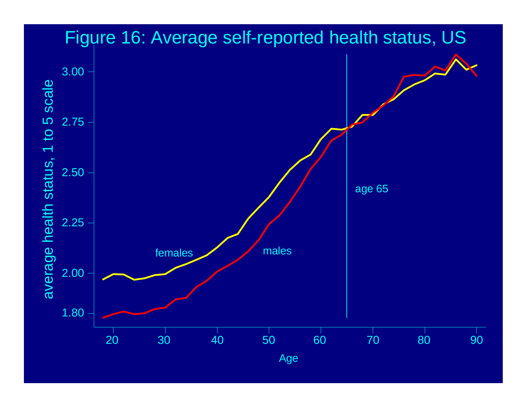![](_page_66_Figure_0.jpeg)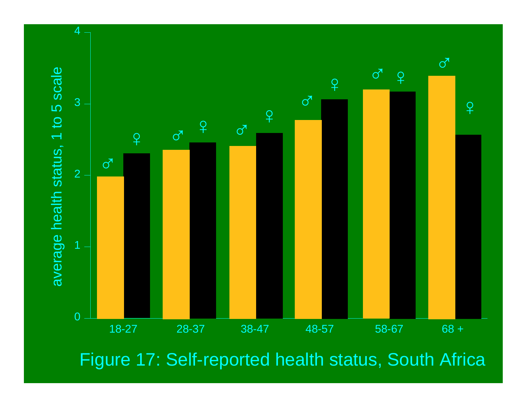![](_page_67_Figure_0.jpeg)

Figure 17: Self-reported health status, South Africa